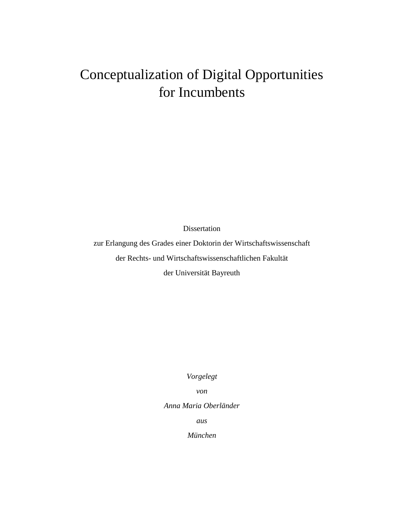# Conceptualization of Digital Opportunities for Incumbents

Dissertation

zur Erlangung des Grades einer Doktorin der Wirtschaftswissenschaft der Rechts- und Wirtschaftswissenschaftlichen Fakultät

der Universität Bayreuth

*Vorgelegt* 

*von*

*Anna Maria Oberländer* 

*aus*

*München*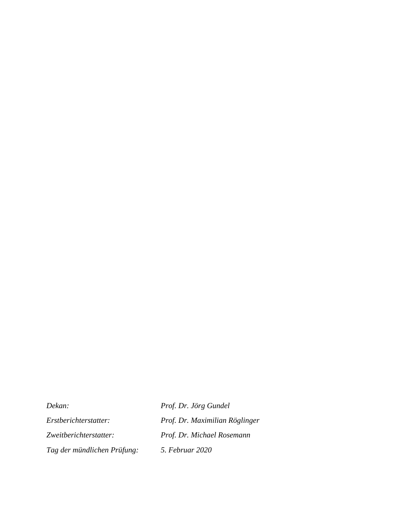*Dekan: Prof. Dr. Jörg Gundel Tag der mündlichen Prüfung: 5. Februar 2020* 

*Erstberichterstatter: Prof. Dr. Maximilian Röglinger Zweitberichterstatter: Prof. Dr. Michael Rosemann*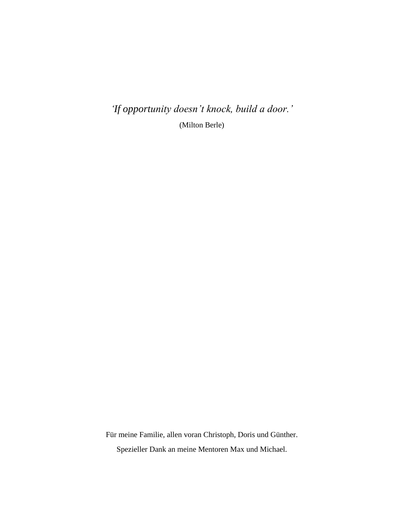*'If opportunity doesn't knock, build a door.'* (Milton Berle)

Für meine Familie, allen voran Christoph, Doris und Günther. Spezieller Dank an meine Mentoren Max und Michael.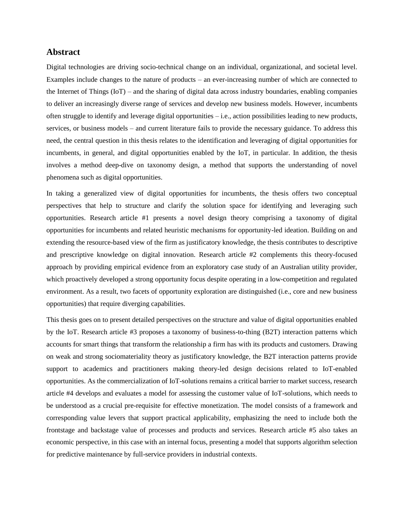# **Abstract**

Digital technologies are driving socio-technical change on an individual, organizational, and societal level. Examples include changes to the nature of products – an ever-increasing number of which are connected to the Internet of Things (IoT) – and the sharing of digital data across industry boundaries, enabling companies to deliver an increasingly diverse range of services and develop new business models. However, incumbents often struggle to identify and leverage digital opportunities – i.e., action possibilities leading to new products, services, or business models – and current literature fails to provide the necessary guidance. To address this need, the central question in this thesis relates to the identification and leveraging of digital opportunities for incumbents, in general, and digital opportunities enabled by the IoT, in particular. In addition, the thesis involves a method deep-dive on taxonomy design, a method that supports the understanding of novel phenomena such as digital opportunities.

In taking a generalized view of digital opportunities for incumbents, the thesis offers two conceptual perspectives that help to structure and clarify the solution space for identifying and leveraging such opportunities. Research article #1 presents a novel design theory comprising a taxonomy of digital opportunities for incumbents and related heuristic mechanisms for opportunity-led ideation. Building on and extending the resource-based view of the firm as justificatory knowledge, the thesis contributes to descriptive and prescriptive knowledge on digital innovation. Research article #2 complements this theory-focused approach by providing empirical evidence from an exploratory case study of an Australian utility provider, which proactively developed a strong opportunity focus despite operating in a low-competition and regulated environment. As a result, two facets of opportunity exploration are distinguished (i.e., core and new business opportunities) that require diverging capabilities.

This thesis goes on to present detailed perspectives on the structure and value of digital opportunities enabled by the IoT. Research article #3 proposes a taxonomy of business-to-thing (B2T) interaction patterns which accounts for smart things that transform the relationship a firm has with its products and customers. Drawing on weak and strong sociomateriality theory as justificatory knowledge, the B2T interaction patterns provide support to academics and practitioners making theory-led design decisions related to IoT-enabled opportunities. As the commercialization of IoT-solutions remains a critical barrier to market success, research article #4 develops and evaluates a model for assessing the customer value of IoT-solutions, which needs to be understood as a crucial pre-requisite for effective monetization. The model consists of a framework and corresponding value levers that support practical applicability, emphasizing the need to include both the frontstage and backstage value of processes and products and services. Research article #5 also takes an economic perspective, in this case with an internal focus, presenting a model that supports algorithm selection for predictive maintenance by full-service providers in industrial contexts.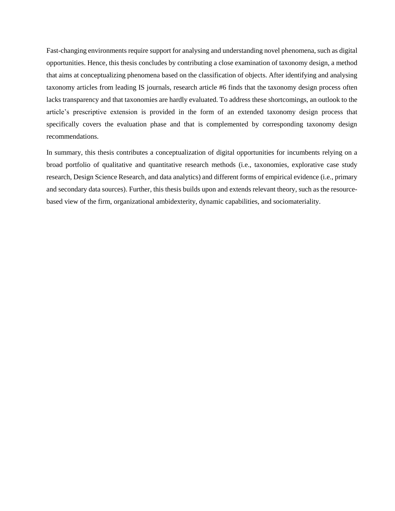Fast-changing environments require support for analysing and understanding novel phenomena, such as digital opportunities. Hence, this thesis concludes by contributing a close examination of taxonomy design, a method that aims at conceptualizing phenomena based on the classification of objects. After identifying and analysing taxonomy articles from leading IS journals, research article #6 finds that the taxonomy design process often lacks transparency and that taxonomies are hardly evaluated. To address these shortcomings, an outlook to the article's prescriptive extension is provided in the form of an extended taxonomy design process that specifically covers the evaluation phase and that is complemented by corresponding taxonomy design recommendations.

In summary, this thesis contributes a conceptualization of digital opportunities for incumbents relying on a broad portfolio of qualitative and quantitative research methods (i.e., taxonomies, explorative case study research, Design Science Research, and data analytics) and different forms of empirical evidence (i.e., primary and secondary data sources). Further, this thesis builds upon and extends relevant theory, such as the resourcebased view of the firm, organizational ambidexterity, dynamic capabilities, and sociomateriality.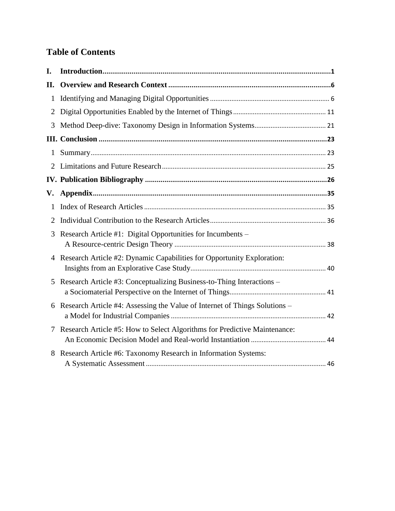# **Table of Contents**

| I.           |                                                                            |  |
|--------------|----------------------------------------------------------------------------|--|
| П.           |                                                                            |  |
| $\mathbf{1}$ |                                                                            |  |
| 2            |                                                                            |  |
| 3            |                                                                            |  |
|              |                                                                            |  |
| $\mathbf{1}$ |                                                                            |  |
| 2.           |                                                                            |  |
|              |                                                                            |  |
| V.           |                                                                            |  |
| 1            |                                                                            |  |
| 2            |                                                                            |  |
| 3            | Research Article #1: Digital Opportunities for Incumbents -                |  |
| 4            | Research Article #2: Dynamic Capabilities for Opportunity Exploration:     |  |
| 5            | Research Article #3: Conceptualizing Business-to-Thing Interactions –      |  |
| 6            | Research Article #4: Assessing the Value of Internet of Things Solutions – |  |
| 7            | Research Article #5: How to Select Algorithms for Predictive Maintenance:  |  |
| 8            | Research Article #6: Taxonomy Research in Information Systems:             |  |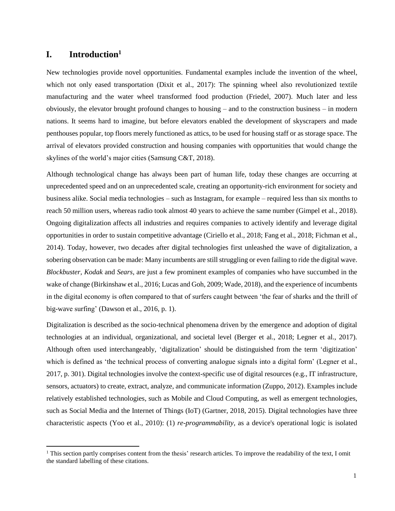# <span id="page-6-0"></span>**I. Introduction<sup>1</sup>**

 $\overline{a}$ 

New technologies provide novel opportunities. Fundamental examples include the invention of the wheel, which not only eased transportation (Dixit et al., 2017): The spinning wheel also revolutionized textile manufacturing and the water wheel transformed food production (Friedel, 2007). Much later and less obviously, the elevator brought profound changes to housing – and to the construction business – in modern nations. It seems hard to imagine, but before elevators enabled the development of skyscrapers and made penthouses popular, top floors merely functioned as attics, to be used for housing staff or as storage space. The arrival of elevators provided construction and housing companies with opportunities that would change the skylines of the world's major cities (Samsung C&T, 2018).

Although technological change has always been part of human life, today these changes are occurring at unprecedented speed and on an unprecedented scale, creating an opportunity-rich environment for society and business alike. Social media technologies – such as Instagram, for example – required less than six months to reach 50 million users, whereas radio took almost 40 years to achieve the same number (Gimpel et al., 2018). Ongoing digitalization affects all industries and requires companies to actively identify and leverage digital opportunities in order to sustain competitive advantage (Ciriello et al., 2018; Fang et al., 2018; Fichman et al., 2014). Today, however, two decades after digital technologies first unleashed the wave of digitalization, a sobering observation can be made: Many incumbents are still struggling or even failing to ride the digital wave. *Blockbuster, Kodak* and *Sears*, are just a few prominent examples of companies who have succumbed in the wake of change (Birkinshaw et al., 2016; Lucas and Goh, 2009; Wade, 2018), and the experience of incumbents in the digital economy is often compared to that of surfers caught between 'the fear of sharks and the thrill of big-wave surfing' (Dawson et al., 2016, p. 1).

Digitalization is described as the socio-technical phenomena driven by the emergence and adoption of digital technologies at an individual, organizational, and societal level (Berger et al., 2018; Legner et al., 2017). Although often used interchangeably, 'digitalization' should be distinguished from the term 'digitization' which is defined as 'the technical process of converting analogue signals into a digital form' (Legner et al., 2017, p. 301). Digital technologies involve the context-specific use of digital resources (e.g., IT infrastructure, sensors, actuators) to create, extract, analyze, and communicate information (Zuppo, 2012). Examples include relatively established technologies, such as Mobile and Cloud Computing, as well as emergent technologies, such as Social Media and the Internet of Things (IoT) (Gartner, 2018, 2015). Digital technologies have three characteristic aspects (Yoo et al., 2010): (1) *re-programmability,* as a device's operational logic is isolated

<sup>&</sup>lt;sup>1</sup> This section partly comprises content from the thesis' research articles. To improve the readability of the text, I omit the standard labelling of these citations.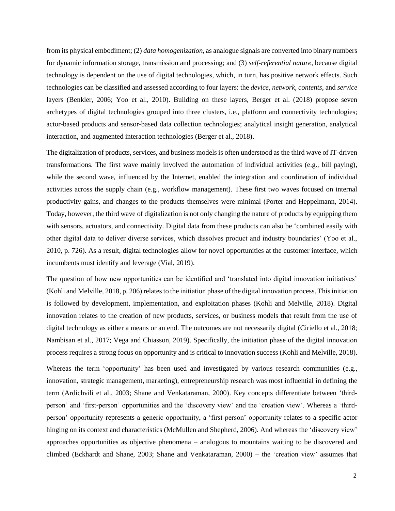from its physical embodiment; (2) *data homogenization,* as analogue signals are converted into binary numbers for dynamic information storage, transmission and processing; and (3) *self-referential nature,* because digital technology is dependent on the use of digital technologies, which, in turn, has positive network effects. Such technologies can be classified and assessed according to four layers: the *device, network, contents*, and *service* layers (Benkler, 2006; Yoo et al., 2010). Building on these layers, Berger et al. (2018) propose seven archetypes of digital technologies grouped into three clusters, i.e., platform and connectivity technologies; actor-based products and sensor-based data collection technologies; analytical insight generation, analytical interaction, and augmented interaction technologies (Berger et al., 2018).

The digitalization of products, services, and business models is often understood as the third wave of IT-driven transformations. The first wave mainly involved the automation of individual activities (e.g., bill paying), while the second wave, influenced by the Internet, enabled the integration and coordination of individual activities across the supply chain (e.g., workflow management). These first two waves focused on internal productivity gains, and changes to the products themselves were minimal (Porter and Heppelmann, 2014). Today, however, the third wave of digitalization is not only changing the nature of products by equipping them with sensors, actuators, and connectivity. Digital data from these products can also be 'combined easily with other digital data to deliver diverse services, which dissolves product and industry boundaries' (Yoo et al., 2010, p. 726). As a result, digital technologies allow for novel opportunities at the customer interface, which incumbents must identify and leverage (Vial, 2019).

The question of how new opportunities can be identified and 'translated into digital innovation initiatives' (Kohli and Melville, 2018, p. 206) relates to the initiation phase of the digital innovation process. This initiation is followed by development, implementation, and exploitation phases (Kohli and Melville, 2018). Digital innovation relates to the creation of new products, services, or business models that result from the use of digital technology as either a means or an end. The outcomes are not necessarily digital (Ciriello et al., 2018; Nambisan et al., 2017; Vega and Chiasson, 2019). Specifically, the initiation phase of the digital innovation process requires a strong focus on opportunity and is critical to innovation success (Kohli and Melville, 2018).

Whereas the term 'opportunity' has been used and investigated by various research communities (e.g., innovation, strategic management, marketing), entrepreneurship research was most influential in defining the term (Ardichvili et al., 2003; Shane and Venkataraman, 2000). Key concepts differentiate between 'thirdperson' and 'first-person' opportunities and the 'discovery view' and the 'creation view'. Whereas a 'thirdperson' opportunity represents a generic opportunity, a 'first-person' opportunity relates to a specific actor hinging on its context and characteristics (McMullen and Shepherd, 2006). And whereas the 'discovery view' approaches opportunities as objective phenomena – analogous to mountains waiting to be discovered and climbed (Eckhardt and Shane, 2003; Shane and Venkataraman, 2000) – the 'creation view' assumes that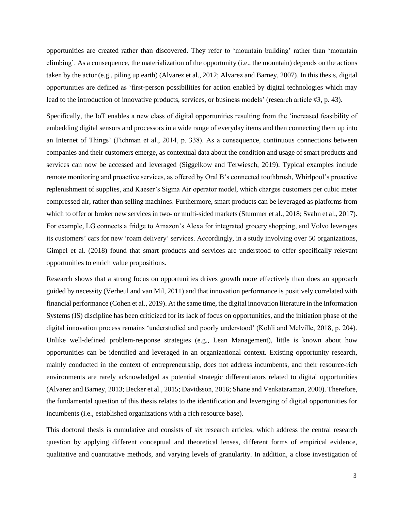opportunities are created rather than discovered. They refer to 'mountain building' rather than 'mountain climbing'. As a consequence, the materialization of the opportunity (i.e., the mountain) depends on the actions taken by the actor (e.g., piling up earth) (Alvarez et al., 2012; Alvarez and Barney, 2007). In this thesis, digital opportunities are defined as 'first-person possibilities for action enabled by digital technologies which may lead to the introduction of innovative products, services, or business models' (research article #3, p. 43).

Specifically, the IoT enables a new class of digital opportunities resulting from the 'increased feasibility of embedding digital sensors and processors in a wide range of everyday items and then connecting them up into an Internet of Things' (Fichman et al., 2014, p. 338). As a consequence, continuous connections between companies and their customers emerge, as contextual data about the condition and usage of smart products and services can now be accessed and leveraged (Siggelkow and Terwiesch, 2019). Typical examples include remote monitoring and proactive services, as offered by Oral B's connected toothbrush, Whirlpool's proactive replenishment of supplies, and Kaeser's Sigma Air operator model, which charges customers per cubic meter compressed air, rather than selling machines. Furthermore, smart products can be leveraged as platforms from which to offer or broker new services in two- or multi-sided markets (Stummer et al., 2018; Svahn et al., 2017). For example, LG connects a fridge to Amazon's Alexa for integrated grocery shopping, and Volvo leverages its customers' cars for new 'roam delivery' services. Accordingly, in a study involving over 50 organizations, Gimpel et al. (2018) found that smart products and services are understood to offer specifically relevant opportunities to enrich value propositions.

Research shows that a strong focus on opportunities drives growth more effectively than does an approach guided by necessity (Verheul and van Mil, 2011) and that innovation performance is positively correlated with financial performance (Cohen et al., 2019). At the same time, the digital innovation literature in the Information Systems (IS) discipline has been criticized for its lack of focus on opportunities, and the initiation phase of the digital innovation process remains 'understudied and poorly understood' (Kohli and Melville, 2018, p. 204). Unlike well-defined problem-response strategies (e.g., Lean Management), little is known about how opportunities can be identified and leveraged in an organizational context. Existing opportunity research, mainly conducted in the context of entrepreneurship, does not address incumbents, and their resource-rich environments are rarely acknowledged as potential strategic differentiators related to digital opportunities (Alvarez and Barney, 2013; Becker et al., 2015; Davidsson, 2016; Shane and Venkataraman, 2000). Therefore, the fundamental question of this thesis relates to the identification and leveraging of digital opportunities for incumbents (i.e., established organizations with a rich resource base).

This doctoral thesis is cumulative and consists of six research articles, which address the central research question by applying different conceptual and theoretical lenses, different forms of empirical evidence, qualitative and quantitative methods, and varying levels of granularity. In addition, a close investigation of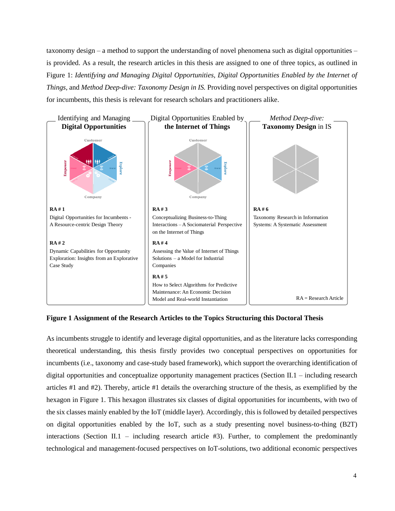taxonomy design – a method to support the understanding of novel phenomena such as digital opportunities – is provided. As a result, the research articles in this thesis are assigned to one of three topics, as outlined in Figure 1: *Identifying and Managing Digital Opportunities, Digital Opportunities Enabled by the Internet of Things,* and *Method Deep-dive: Taxonomy Design in IS.* Providing novel perspectives on digital opportunities for incumbents, this thesis is relevant for research scholars and practitioners alike.



#### **Figure 1 Assignment of the Research Articles to the Topics Structuring this Doctoral Thesis**

As incumbents struggle to identify and leverage digital opportunities, and as the literature lacks corresponding theoretical understanding, this thesis firstly provides two conceptual perspectives on opportunities for incumbents (i.e., taxonomy and case-study based framework), which support the overarching identification of digital opportunities and conceptualize opportunity management practices (Section II.1 – including research articles #1 and #2). Thereby, article #1 details the overarching structure of the thesis, as exemplified by the hexagon in Figure 1. This hexagon illustrates six classes of digital opportunities for incumbents, with two of the six classes mainly enabled by the IoT (middle layer). Accordingly, this is followed by detailed perspectives on digital opportunities enabled by the IoT, such as a study presenting novel business-to-thing (B2T) interactions (Section II.1 – including research article #3). Further, to complement the predominantly technological and management-focused perspectives on IoT-solutions, two additional economic perspectives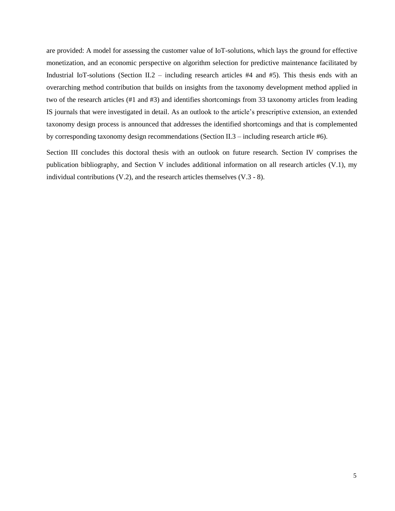are provided: A model for assessing the customer value of IoT-solutions, which lays the ground for effective monetization, and an economic perspective on algorithm selection for predictive maintenance facilitated by Industrial IoT-solutions (Section II.2 – including research articles  $#4$  and  $#5$ ). This thesis ends with an overarching method contribution that builds on insights from the taxonomy development method applied in two of the research articles (#1 and #3) and identifies shortcomings from 33 taxonomy articles from leading IS journals that were investigated in detail. As an outlook to the article's prescriptive extension, an extended taxonomy design process is announced that addresses the identified shortcomings and that is complemented by corresponding taxonomy design recommendations (Section II.3 – including research article #6).

Section III concludes this doctoral thesis with an outlook on future research. Section IV comprises the publication bibliography, and Section V includes additional information on all research articles (V.1), my individual contributions (V.2), and the research articles themselves (V.3 - 8).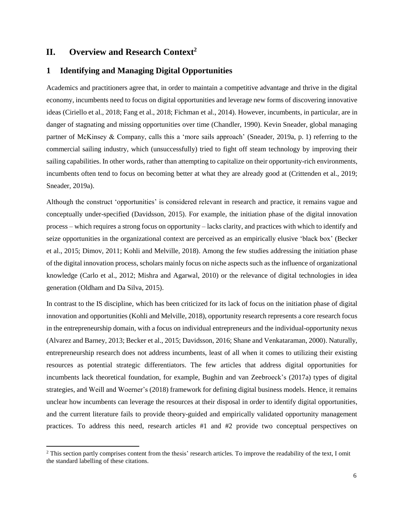# <span id="page-11-0"></span>**II. Overview and Research Context<sup>2</sup>**

 $\overline{a}$ 

## <span id="page-11-1"></span>**1 Identifying and Managing Digital Opportunities**

Academics and practitioners agree that, in order to maintain a competitive advantage and thrive in the digital economy, incumbents need to focus on digital opportunities and leverage new forms of discovering innovative ideas (Ciriello et al., 2018; Fang et al., 2018; Fichman et al., 2014). However, incumbents, in particular, are in danger of stagnating and missing opportunities over time (Chandler, 1990). Kevin Sneader, global managing partner of McKinsey & Company, calls this a 'more sails approach' (Sneader, 2019a, p. 1) referring to the commercial sailing industry, which (unsuccessfully) tried to fight off steam technology by improving their sailing capabilities. In other words, rather than attempting to capitalize on their opportunity-rich environments, incumbents often tend to focus on becoming better at what they are already good at (Crittenden et al., 2019; Sneader, 2019a).

Although the construct 'opportunities' is considered relevant in research and practice, it remains vague and conceptually under-specified (Davidsson, 2015). For example, the initiation phase of the digital innovation process – which requires a strong focus on opportunity – lacks clarity, and practices with which to identify and seize opportunities in the organizational context are perceived as an empirically elusive 'black box' (Becker et al., 2015; Dimov, 2011; Kohli and Melville, 2018). Among the few studies addressing the initiation phase of the digital innovation process, scholars mainly focus on niche aspects such as the influence of organizational knowledge (Carlo et al., 2012; Mishra and Agarwal, 2010) or the relevance of digital technologies in idea generation (Oldham and Da Silva, 2015).

In contrast to the IS discipline, which has been criticized for its lack of focus on the initiation phase of digital innovation and opportunities (Kohli and Melville, 2018), opportunity research represents a core research focus in the entrepreneurship domain, with a focus on individual entrepreneurs and the individual-opportunity nexus (Alvarez and Barney, 2013; Becker et al., 2015; Davidsson, 2016; Shane and Venkataraman, 2000). Naturally, entrepreneurship research does not address incumbents, least of all when it comes to utilizing their existing resources as potential strategic differentiators. The few articles that address digital opportunities for incumbents lack theoretical foundation, for example, Bughin and van Zeebroeck's (2017a) types of digital strategies, and Weill and Woerner's (2018) framework for defining digital business models. Hence, it remains unclear how incumbents can leverage the resources at their disposal in order to identify digital opportunities, and the current literature fails to provide theory-guided and empirically validated opportunity management practices. To address this need, research articles #1 and #2 provide two conceptual perspectives on

<sup>&</sup>lt;sup>2</sup> This section partly comprises content from the thesis' research articles. To improve the readability of the text, I omit the standard labelling of these citations.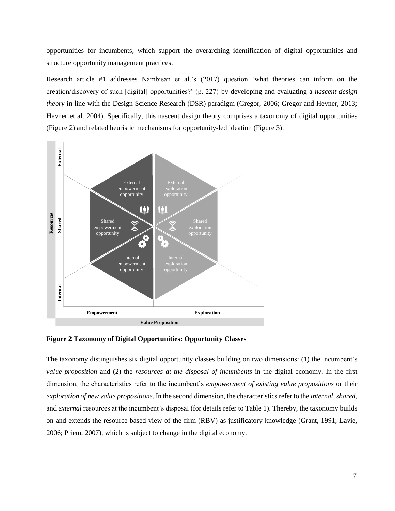opportunities for incumbents, which support the overarching identification of digital opportunities and structure opportunity management practices.

Research article #1 addresses Nambisan et al.'s (2017) question 'what theories can inform on the creation/discovery of such [digital] opportunities?' (p. 227) by developing and evaluating a *nascent design theory* in line with the Design Science Research (DSR) paradigm (Gregor, 2006; Gregor and Hevner, 2013; Hevner et al. 2004). Specifically, this nascent design theory comprises a taxonomy of digital opportunities (Figure 2) and related heuristic mechanisms for opportunity-led ideation (Figure 3).



**Figure 2 Taxonomy of Digital Opportunities: Opportunity Classes** 

The taxonomy distinguishes six digital opportunity classes building on two dimensions: (1) the incumbent's *value proposition* and (2) the *resources at the disposal of incumbents* in the digital economy. In the first dimension, the characteristics refer to the incumbent's *empowerment of existing value propositions* or their *exploration of new value propositions*. In the second dimension, the characteristics refer to the *internal, shared,*  and *external* resources at the incumbent's disposal (for details refer to Table 1). Thereby, the taxonomy builds on and extends the resource-based view of the firm (RBV) as justificatory knowledge (Grant, 1991; Lavie, 2006; Priem, 2007), which is subject to change in the digital economy.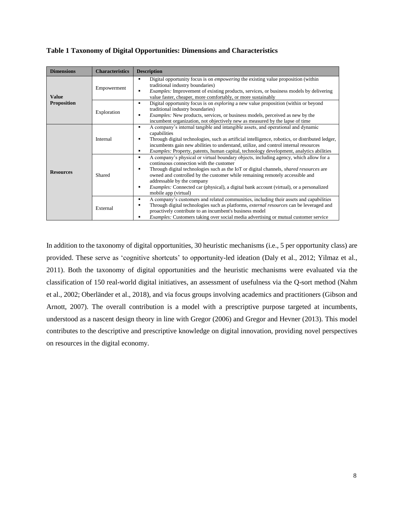#### **Table 1 Taxonomy of Digital Opportunities: Dimensions and Characteristics**

| <b>Dimensions</b>  | <b>Characteristics</b> | <b>Description</b>                                                                                                                                                                                                                                                                                                                                                                                                                                                 |  |
|--------------------|------------------------|--------------------------------------------------------------------------------------------------------------------------------------------------------------------------------------------------------------------------------------------------------------------------------------------------------------------------------------------------------------------------------------------------------------------------------------------------------------------|--|
| Value              | Empowerment            | Digital opportunity focus is on <i>empowering</i> the existing value proposition (within<br>traditional industry boundaries)<br><i>Examples:</i> Improvement of existing products, services, or business models by delivering<br>value faster, cheaper, more comfortably, or more sustainably                                                                                                                                                                      |  |
| <b>Proposition</b> | Exploration            | Digital opportunity focus is on <i>exploring</i> a new value proposition (within or beyond<br>٠<br>traditional industry boundaries)<br><i>Examples:</i> New products, services, or business models, perceived as new by the<br>incumbent organization, not objectively new as measured by the lapse of time                                                                                                                                                        |  |
|                    | Internal               | A company's internal tangible and intangible assets, and operational and dynamic<br>capabilities<br>Through digital technologies, such as artificial intelligence, robotics, or distributed ledger,<br>incumbents gain new abilities to understand, utilize, and control internal resources<br><i>Examples:</i> Property, patents, human capital, technology development, analytics abilities                                                                      |  |
| <b>Resources</b>   | Shared                 | A company's physical or virtual boundary objects, including agency, which allow for a<br>continuous connection with the customer<br>Through digital technologies such as the IoT or digital channels, <i>shared resources</i> are<br>owned and controlled by the customer while remaining remotely accessible and<br>addressable by the company<br>Examples: Connected car (physical), a digital bank account (virtual), or a personalized<br>mobile app (virtual) |  |
|                    | External               | A company's customers and related communities, including their assets and capabilities<br>Through digital technologies such as platforms, <i>external resources</i> can be leveraged and<br>proactively contribute to an incumbent's business model<br><i>Examples:</i> Customers taking over social media advertising or mutual customer service                                                                                                                  |  |

In addition to the taxonomy of digital opportunities, 30 heuristic mechanisms (i.e., 5 per opportunity class) are provided. These serve as 'cognitive shortcuts' to opportunity-led ideation (Daly et al., 2012; Yilmaz et al., 2011). Both the taxonomy of digital opportunities and the heuristic mechanisms were evaluated via the classification of 150 real-world digital initiatives, an assessment of usefulness via the Q-sort method (Nahm et al., 2002; Oberländer et al., 2018), and via focus groups involving academics and practitioners (Gibson and Arnott, 2007). The overall contribution is a model with a prescriptive purpose targeted at incumbents, understood as a nascent design theory in line with Gregor (2006) and Gregor and Hevner (2013). This model contributes to the descriptive and prescriptive knowledge on digital innovation, providing novel perspectives on resources in the digital economy.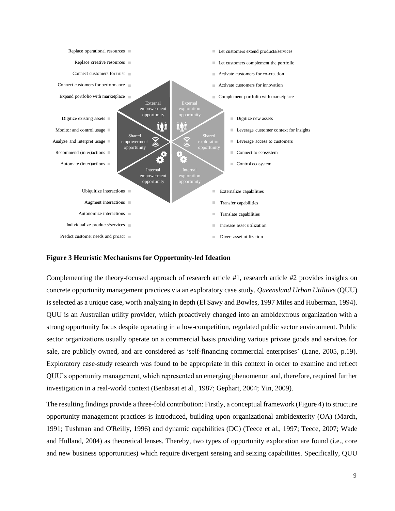

#### **Figure 3 Heuristic Mechanisms for Opportunity-led Ideation**

Complementing the theory-focused approach of research article #1, research article #2 provides insights on concrete opportunity management practices via an exploratory case study. *Queensland Urban Utilities* (QUU) is selected as a unique case, worth analyzing in depth (El Sawy and Bowles, 1997 Miles and Huberman, 1994). QUU is an Australian utility provider, which proactively changed into an ambidextrous organization with a strong opportunity focus despite operating in a low-competition, regulated public sector environment. Public sector organizations usually operate on a commercial basis providing various private goods and services for sale, are publicly owned, and are considered as 'self-financing commercial enterprises' (Lane, 2005, p.19). Exploratory case-study research was found to be appropriate in this context in order to examine and reflect QUU's opportunity management, which represented an emerging phenomenon and, therefore, required further investigation in a real-world context (Benbasat et al., 1987; Gephart, 2004; Yin, 2009).

The resulting findings provide a three-fold contribution: Firstly, a conceptual framework (Figure 4) to structure opportunity management practices is introduced, building upon organizational ambidexterity (OA) (March, 1991; Tushman and O'Reilly, 1996) and dynamic capabilities (DC) (Teece et al., 1997; Teece, 2007; Wade and Hulland, 2004) as theoretical lenses. Thereby, two types of opportunity exploration are found (i.e., core and new business opportunities) which require divergent sensing and seizing capabilities. Specifically, QUU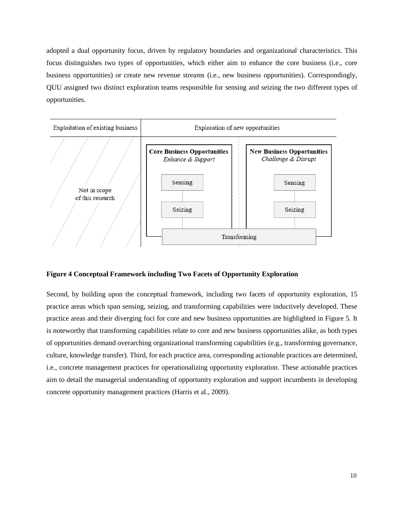adopted a dual opportunity focus, driven by regulatory boundaries and organizational characteristics. This focus distinguishes two types of opportunities, which either aim to enhance the core business (i.e., core business opportunities) or create new revenue streams (i.e., new business opportunities). Correspondingly, QUU assigned two distinct exploration teams responsible for sensing and seizing the two different types of opportunities.



#### **Figure 4 Conceptual Framework including Two Facets of Opportunity Exploration**

Second, by building upon the conceptual framework, including two facets of opportunity exploration, 15 practice areas which span sensing, seizing, and transforming capabilities were inductively developed. These practice areas and their diverging foci for core and new business opportunities are highlighted in Figure 5. It is noteworthy that transforming capabilities relate to core and new business opportunities alike, as both types of opportunities demand overarching organizational transforming capabilities (e.g., transforming governance, culture, knowledge transfer). Third, for each practice area, corresponding actionable practices are determined, i.e., concrete management practices for operationalizing opportunity exploration. These actionable practices aim to detail the managerial understanding of opportunity exploration and support incumbents in developing concrete opportunity management practices (Harris et al., 2009).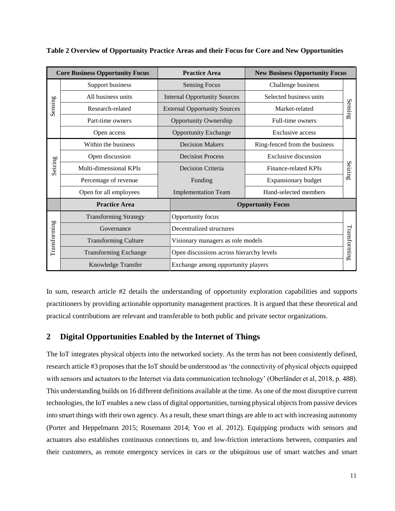| <b>Core Business Opportunity Focus</b> |                              | <b>Practice Area</b>                | <b>New Business Opportunity Focus</b>    |              |  |
|----------------------------------------|------------------------------|-------------------------------------|------------------------------------------|--------------|--|
| Sensing                                | Support business             | <b>Sensing Focus</b>                | Challenge business                       | Sensin<br>σÓ |  |
|                                        | All business units           | <b>Internal Opportunity Sources</b> | Selected business units                  |              |  |
|                                        | Research-related             | <b>External Opportunity Sources</b> | Market-related                           |              |  |
|                                        | Part-time owners             | <b>Opportunity Ownership</b>        | Full-time owners                         |              |  |
|                                        | Open access                  | <b>Opportunity Exchange</b>         | Exclusive access                         |              |  |
|                                        | Within the business          | <b>Decision Makers</b>              | Ring-fenced from the business            | Seizin<br>σÒ |  |
|                                        | Open discussion              | <b>Decision Process</b>             | Exclusive discussion                     |              |  |
| Seizing                                | Multi-dimensional KPIs       | Decision Criteria                   | Finance-related KPIs                     |              |  |
|                                        | Percentage of revenue        | Funding                             | Expansionary budget                      |              |  |
|                                        | Open for all employees       | <b>Implementation Team</b>          | Hand-selected members                    |              |  |
|                                        | <b>Practice Area</b>         |                                     | <b>Opportunity Focus</b>                 |              |  |
|                                        | <b>Transforming Strategy</b> | Opportunity focus                   |                                          |              |  |
|                                        | Governance                   | Decentralized structures            |                                          |              |  |
| Transforming                           | <b>Transforming Culture</b>  |                                     | Visionary managers as role models        |              |  |
|                                        | <b>Transforming Exchange</b> |                                     | Open discussions across hierarchy levels |              |  |
|                                        | Knowledge Transfer           | Exchange among opportunity players  |                                          | Transforming |  |

**Table 2 Overview of Opportunity Practice Areas and their Focus for Core and New Opportunities** 

In sum, research article #2 details the understanding of opportunity exploration capabilities and supports practitioners by providing actionable opportunity management practices. It is argued that these theoretical and practical contributions are relevant and transferable to both public and private sector organizations.

## <span id="page-16-0"></span>**2 Digital Opportunities Enabled by the Internet of Things**

The IoT integrates physical objects into the networked society. As the term has not been consistently defined, research article #3 proposes that the IoT should be understood as 'the connectivity of physical objects equipped with sensors and actuators to the Internet via data communication technology' (Oberländer et al, 2018, p. 488). This understanding builds on 16 different definitions available at the time. As one of the most disruptive current technologies, the IoT enables a new class of digital opportunities, turning physical objects from passive devices into smart things with their own agency. As a result, these smart things are able to act with increasing autonomy (Porter and Heppelmann 2015; Rosemann 2014; Yoo et al. 2012). Equipping products with sensors and actuators also establishes continuous connections to, and low-friction interactions between, companies and their customers, as remote emergency services in cars or the ubiquitous use of smart watches and smart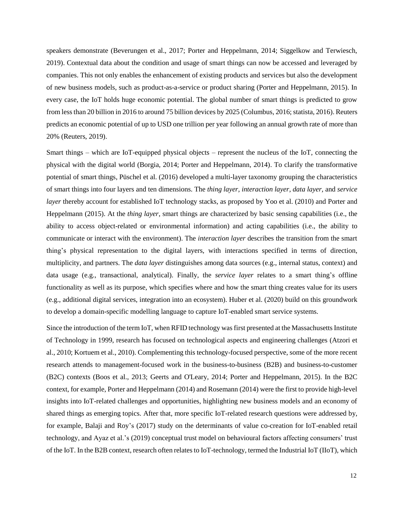speakers demonstrate (Beverungen et al., 2017; Porter and Heppelmann, 2014; Siggelkow and Terwiesch, 2019). Contextual data about the condition and usage of smart things can now be accessed and leveraged by companies. This not only enables the enhancement of existing products and services but also the development of new business models, such as product-as-a-service or product sharing (Porter and Heppelmann, 2015). In every case, the IoT holds huge economic potential. The global number of smart things is predicted to grow from less than 20 billion in 2016 to around 75 billion devices by 2025 (Columbus, 2016; statista, 2016). Reuters predicts an economic potential of up to USD one trillion per year following an annual growth rate of more than 20% (Reuters, 2019).

Smart things – which are IoT-equipped physical objects – represent the nucleus of the IoT, connecting the physical with the digital world (Borgia, 2014; Porter and Heppelmann, 2014). To clarify the transformative potential of smart things, Püschel et al. (2016) developed a multi-layer taxonomy grouping the characteristics of smart things into four layers and ten dimensions. The *thing layer, interaction layer, data layer,* and *service layer* thereby account for established IoT technology stacks, as proposed by Yoo et al. (2010) and Porter and Heppelmann (2015). At the *thing layer*, smart things are characterized by basic sensing capabilities (i.e., the ability to access object-related or environmental information) and acting capabilities (i.e., the ability to communicate or interact with the environment). The *interaction layer* describes the transition from the smart thing's physical representation to the digital layers, with interactions specified in terms of direction, multiplicity, and partners. The *data layer* distinguishes among data sources (e.g., internal status, context) and data usage (e.g., transactional, analytical). Finally, the *service layer* relates to a smart thing's offline functionality as well as its purpose, which specifies where and how the smart thing creates value for its users (e.g., additional digital services, integration into an ecosystem). Huber et al. (2020) build on this groundwork to develop a domain-specific modelling language to capture IoT-enabled smart service systems.

Since the introduction of the term IoT, when RFID technology was first presented at the Massachusetts Institute of Technology in 1999, research has focused on technological aspects and engineering challenges (Atzori et al., 2010; Kortuem et al., 2010). Complementing this technology-focused perspective, some of the more recent research attends to management-focused work in the business-to-business (B2B) and business-to-customer (B2C) contexts (Boos et al., 2013; Geerts and O'Leary, 2014; Porter and Heppelmann, 2015). In the B2C context, for example, Porter and Heppelmann (2014) and Rosemann (2014) were the first to provide high-level insights into IoT-related challenges and opportunities, highlighting new business models and an economy of shared things as emerging topics. After that, more specific IoT-related research questions were addressed by, for example, Balaji and Roy's (2017) study on the determinants of value co-creation for IoT-enabled retail technology, and Ayaz et al.'s (2019) conceptual trust model on behavioural factors affecting consumers' trust of the IoT. In the B2B context, research often relates to IoT-technology, termed the Industrial IoT (IIoT), which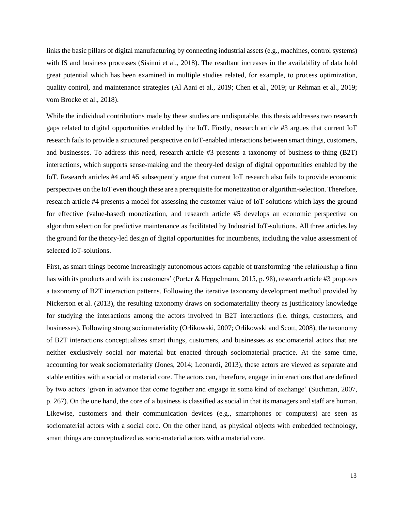links the basic pillars of digital manufacturing by connecting industrial assets (e.g., machines, control systems) with IS and business processes (Sisinni et al., 2018). The resultant increases in the availability of data hold great potential which has been examined in multiple studies related, for example, to process optimization, quality control, and maintenance strategies (Al Aani et al., 2019; Chen et al., 2019; ur Rehman et al., 2019; vom Brocke et al., 2018).

While the individual contributions made by these studies are undisputable, this thesis addresses two research gaps related to digital opportunities enabled by the IoT. Firstly, research article #3 argues that current IoT research fails to provide a structured perspective on IoT-enabled interactions between smart things, customers, and businesses. To address this need, research article #3 presents a taxonomy of business-to-thing (B2T) interactions, which supports sense-making and the theory-led design of digital opportunities enabled by the IoT. Research articles #4 and #5 subsequently argue that current IoT research also fails to provide economic perspectives on the IoT even though these are a prerequisite for monetization or algorithm-selection. Therefore, research article #4 presents a model for assessing the customer value of IoT-solutions which lays the ground for effective (value-based) monetization, and research article #5 develops an economic perspective on algorithm selection for predictive maintenance as facilitated by Industrial IoT-solutions. All three articles lay the ground for the theory-led design of digital opportunities for incumbents, including the value assessment of selected IoT-solutions.

First, as smart things become increasingly autonomous actors capable of transforming 'the relationship a firm has with its products and with its customers' (Porter & Heppelmann, 2015, p. 98), research article #3 proposes a taxonomy of B2T interaction patterns. Following the iterative taxonomy development method provided by Nickerson et al. (2013), the resulting taxonomy draws on sociomateriality theory as justificatory knowledge for studying the interactions among the actors involved in B2T interactions (i.e. things, customers, and businesses). Following strong sociomateriality (Orlikowski, 2007; Orlikowski and Scott, 2008), the taxonomy of B2T interactions conceptualizes smart things, customers, and businesses as sociomaterial actors that are neither exclusively social nor material but enacted through sociomaterial practice. At the same time, accounting for weak sociomateriality (Jones, 2014; Leonardi, 2013), these actors are viewed as separate and stable entities with a social or material core. The actors can, therefore, engage in interactions that are defined by two actors 'given in advance that come together and engage in some kind of exchange' (Suchman, 2007, p. 267). On the one hand, the core of a business is classified as social in that its managers and staff are human. Likewise, customers and their communication devices (e.g., smartphones or computers) are seen as sociomaterial actors with a social core. On the other hand, as physical objects with embedded technology, smart things are conceptualized as socio-material actors with a material core.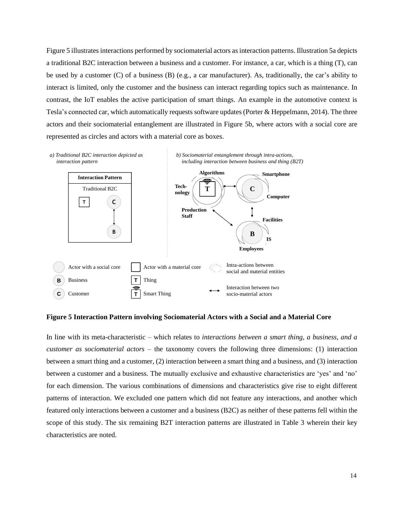Figure 5 illustrates interactions performed by sociomaterial actors as interaction patterns. Illustration 5a depicts a traditional B2C interaction between a business and a customer. For instance, a car, which is a thing (T), can be used by a customer (C) of a business (B) (e.g., a car manufacturer). As, traditionally, the car's ability to interact is limited, only the customer and the business can interact regarding topics such as maintenance. In contrast, the IoT enables the active participation of smart things. An example in the automotive context is Tesla's connected car, which automatically requests software updates (Porter & Heppelmann, 2014). The three actors and their sociomaterial entanglement are illustrated in Figure 5b, where actors with a social core are represented as circles and actors with a material core as boxes.



#### **Figure 5 Interaction Pattern involving Sociomaterial Actors with a Social and a Material Core**

In line with its meta-characteristic – which relates to *interactions between a smart thing, a business, and a customer as sociomaterial actors* – the taxonomy covers the following three dimensions: (1) interaction between a smart thing and a customer, (2) interaction between a smart thing and a business, and (3) interaction between a customer and a business. The mutually exclusive and exhaustive characteristics are 'yes' and 'no' for each dimension. The various combinations of dimensions and characteristics give rise to eight different patterns of interaction. We excluded one pattern which did not feature any interactions, and another which featured only interactions between a customer and a business (B2C) as neither of these patterns fell within the scope of this study. The six remaining B2T interaction patterns are illustrated in Table 3 wherein their key characteristics are noted.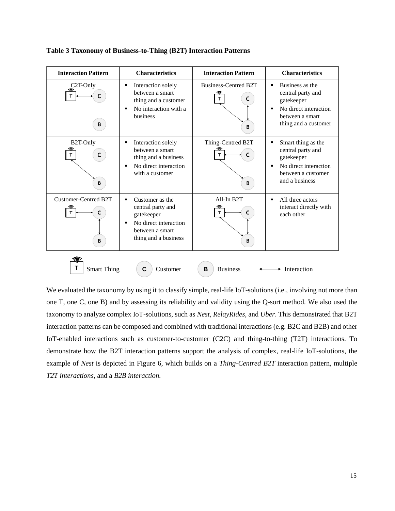| <b>Interaction Pattern</b>       | <b>Characteristics</b>                                                                                                                        | <b>Interaction Pattern</b>          | <b>Characteristics</b>                                                                                                                        |
|----------------------------------|-----------------------------------------------------------------------------------------------------------------------------------------------|-------------------------------------|-----------------------------------------------------------------------------------------------------------------------------------------------|
| C <sub>2</sub> T-Only<br>B       | Interaction solely<br>٠<br>between a smart<br>thing and a customer<br>No interaction with a<br>٠<br>business                                  | Business-Centred B2T<br>C<br>т<br>B | Business as the<br>п<br>central party and<br>gatekeeper<br>No direct interaction<br>$\blacksquare$<br>between a smart<br>thing and a customer |
| B2T-Only<br>C<br>т<br>B          | Interaction solely<br>٠<br>between a smart<br>thing and a business<br>No direct interaction<br>٠<br>with a customer                           | Thing-Centred B2T<br>т<br>В         | Smart thing as the<br>E<br>central party and<br>gatekeeper<br>No direct interaction<br>$\blacksquare$<br>between a customer<br>and a business |
| <b>Customer-Centred B2T</b><br>В | Customer as the<br>$\blacksquare$<br>central party and<br>gatekeeper<br>No direct interaction<br>٠<br>between a smart<br>thing and a business | All-In B2T<br>B                     | All three actors<br>$\blacksquare$<br>interact directly with<br>each other                                                                    |
| <b>Smart Thing</b>               | С<br>Customer                                                                                                                                 | <b>Business</b><br>B                | Interaction                                                                                                                                   |

**Table 3 Taxonomy of Business-to-Thing (B2T) Interaction Patterns**

We evaluated the taxonomy by using it to classify simple, real-life IoT-solutions (i.e., involving not more than one T, one C, one B) and by assessing its reliability and validity using the Q-sort method. We also used the taxonomy to analyze complex IoT-solutions, such as *Nest, RelayRides*, and *Uber*. This demonstrated that B2T interaction patterns can be composed and combined with traditional interactions (e.g. B2C and B2B) and other IoT-enabled interactions such as customer-to-customer (C2C) and thing-to-thing (T2T) interactions. To demonstrate how the B2T interaction patterns support the analysis of complex, real-life IoT-solutions, the example of *Nest* is depicted in Figure 6, which builds on a *Thing-Centred B2T* interaction pattern, multiple *T2T interactions*, and a *B2B interaction.*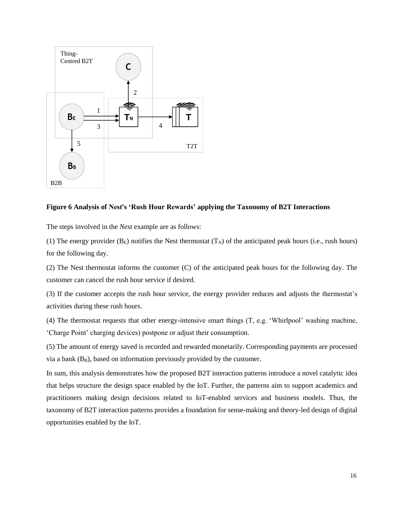

#### **Figure 6 Analysis of Nest's 'Rush Hour Rewards' applying the Taxonomy of B2T Interactions**

The steps involved in the *Nest* example are as follows:

(1) The energy provider  $(B_E)$  notifies the Nest thermostat  $(T_N)$  of the anticipated peak hours (i.e., rush hours) for the following day.

(2) The Nest thermostat informs the customer (C) of the anticipated peak hours for the following day. The customer can cancel the rush hour service if desired.

(3) If the customer accepts the rush hour service, the energy provider reduces and adjusts the thermostat's activities during these rush hours.

(4) The thermostat requests that other energy-intensive smart things (T, e.g. 'Whirlpool' washing machine, 'Charge Point' charging devices) postpone or adjust their consumption.

(5) The amount of energy saved is recorded and rewarded monetarily. Corresponding payments are processed via a bank  $(B_B)$ , based on information previously provided by the customer.

In sum, this analysis demonstrates how the proposed B2T interaction patterns introduce a novel catalytic idea that helps structure the design space enabled by the IoT. Further, the patterns aim to support academics and practitioners making design decisions related to IoT-enabled services and business models. Thus, the taxonomy of B2T interaction patterns provides a foundation for sense-making and theory-led design of digital opportunities enabled by the IoT.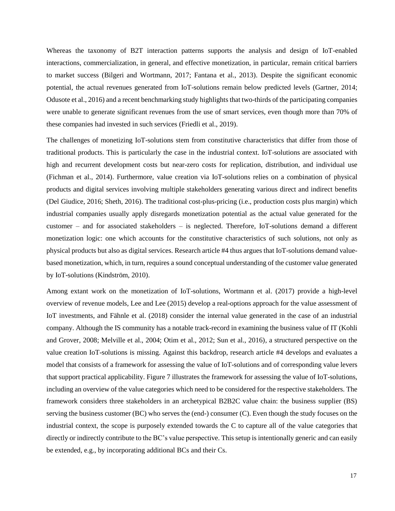Whereas the taxonomy of B2T interaction patterns supports the analysis and design of IoT-enabled interactions, commercialization, in general, and effective monetization, in particular, remain critical barriers to market success (Bilgeri and Wortmann, 2017; Fantana et al., 2013). Despite the significant economic potential, the actual revenues generated from IoT-solutions remain below predicted levels (Gartner, 2014; Odusote et al., 2016) and a recent benchmarking study highlights that two-thirds of the participating companies were unable to generate significant revenues from the use of smart services, even though more than 70% of these companies had invested in such services (Friedli et al., 2019).

The challenges of monetizing IoT-solutions stem from constitutive characteristics that differ from those of traditional products. This is particularly the case in the industrial context. IoT-solutions are associated with high and recurrent development costs but near-zero costs for replication, distribution, and individual use (Fichman et al., 2014). Furthermore, value creation via IoT-solutions relies on a combination of physical products and digital services involving multiple stakeholders generating various direct and indirect benefits (Del Giudice, 2016; Sheth, 2016). The traditional cost-plus-pricing (i.e., production costs plus margin) which industrial companies usually apply disregards monetization potential as the actual value generated for the customer – and for associated stakeholders – is neglected. Therefore, IoT-solutions demand a different monetization logic: one which accounts for the constitutive characteristics of such solutions, not only as physical products but also as digital services. Research article #4 thus argues that IoT-solutions demand valuebased monetization, which, in turn, requires a sound conceptual understanding of the customer value generated by IoT-solutions (Kindström, 2010).

Among extant work on the monetization of IoT-solutions, Wortmann et al. (2017) provide a high-level overview of revenue models, Lee and Lee (2015) develop a real-options approach for the value assessment of IoT investments, and Fähnle et al. (2018) consider the internal value generated in the case of an industrial company. Although the IS community has a notable track-record in examining the business value of IT (Kohli and Grover, 2008; Melville et al., 2004; Otim et al., 2012; Sun et al., 2016), a structured perspective on the value creation IoT-solutions is missing. Against this backdrop, research article #4 develops and evaluates a model that consists of a framework for assessing the value of IoT-solutions and of corresponding value levers that support practical applicability. Figure 7 illustrates the framework for assessing the value of IoT-solutions, including an overview of the value categories which need to be considered for the respective stakeholders. The framework considers three stakeholders in an archetypical B2B2C value chain: the business supplier (BS) serving the business customer (BC) who serves the (end-) consumer (C). Even though the study focuses on the industrial context, the scope is purposely extended towards the C to capture all of the value categories that directly or indirectly contribute to the BC's value perspective. This setup is intentionally generic and can easily be extended, e.g., by incorporating additional BCs and their Cs.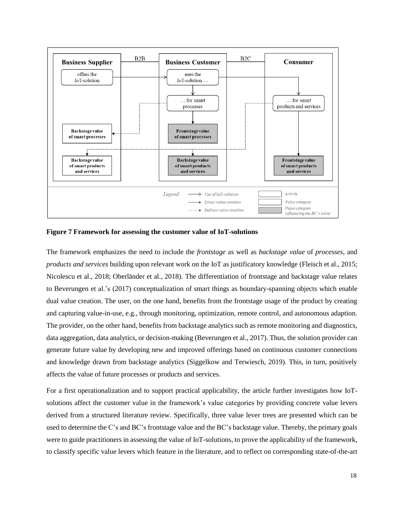

**Figure 7 Framework for assessing the customer value of IoT-solutions**

The framework emphasizes the need to include the *frontstage* as well as *backstage value* of *processes*, and *products and services* building upon relevant work on the IoT as justificatory knowledge (Fleisch et al., 2015; Nicolescu et al., 2018; Oberländer et al., 2018). The differentiation of frontstage and backstage value relates to Beverungen et al.'s (2017) conceptualization of smart things as boundary-spanning objects which enable dual value creation. The user, on the one hand, benefits from the frontstage usage of the product by creating and capturing value-in-use, e.g., through monitoring, optimization, remote control, and autonomous adaption. The provider, on the other hand, benefits from backstage analytics such as remote monitoring and diagnostics, data aggregation, data analytics, or decision-making (Beverungen et al., 2017). Thus, the solution provider can generate future value by developing new and improved offerings based on continuous customer connections and knowledge drawn from backstage analytics (Siggelkow and Terwiesch, 2019). This, in turn, positively affects the value of future processes or products and services.

For a first operationalization and to support practical applicability, the article further investigates how IoTsolutions affect the customer value in the framework's value categories by providing concrete value levers derived from a structured literature review. Specifically, three value lever trees are presented which can be used to determine the C's and BC's frontstage value and the BC's backstage value. Thereby, the primary goals were to guide practitioners in assessing the value of IoT-solutions, to prove the applicability of the framework, to classify specific value levers which feature in the literature, and to reflect on corresponding state-of-the-art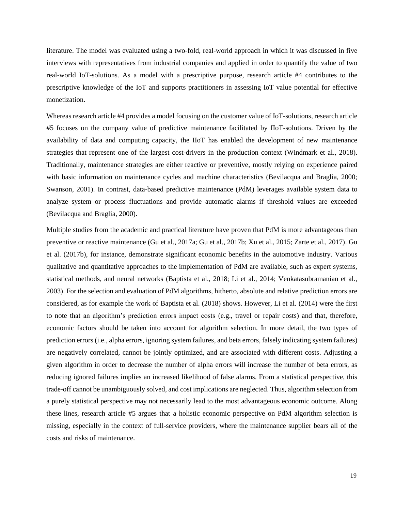literature. The model was evaluated using a two-fold, real-world approach in which it was discussed in five interviews with representatives from industrial companies and applied in order to quantify the value of two real-world IoT-solutions. As a model with a prescriptive purpose, research article #4 contributes to the prescriptive knowledge of the IoT and supports practitioners in assessing IoT value potential for effective monetization.

Whereas research article #4 provides a model focusing on the customer value of IoT-solutions, research article #5 focuses on the company value of predictive maintenance facilitated by IIoT-solutions. Driven by the availability of data and computing capacity, the IIoT has enabled the development of new maintenance strategies that represent one of the largest cost-drivers in the production context (Windmark et al., 2018). Traditionally, maintenance strategies are either reactive or preventive, mostly relying on experience paired with basic information on maintenance cycles and machine characteristics (Bevilacqua and Braglia, 2000; Swanson, 2001). In contrast, data-based predictive maintenance (PdM) leverages available system data to analyze system or process fluctuations and provide automatic alarms if threshold values are exceeded (Bevilacqua and Braglia, 2000).

Multiple studies from the academic and practical literature have proven that PdM is more advantageous than preventive or reactive maintenance (Gu et al., 2017a; Gu et al., 2017b; Xu et al., 2015; Zarte et al., 2017). Gu et al. (2017b), for instance, demonstrate significant economic benefits in the automotive industry. Various qualitative and quantitative approaches to the implementation of PdM are available, such as expert systems, statistical methods, and neural networks (Baptista et al., 2018; Li et al., 2014; Venkatasubramanian et al., 2003). For the selection and evaluation of PdM algorithms, hitherto, absolute and relative prediction errors are considered, as for example the work of Baptista et al. (2018) shows. However, Li et al. (2014) were the first to note that an algorithm's prediction errors impact costs (e.g., travel or repair costs) and that, therefore, economic factors should be taken into account for algorithm selection. In more detail, the two types of prediction errors (i.e., alpha errors, ignoring system failures, and beta errors, falsely indicating system failures) are negatively correlated, cannot be jointly optimized, and are associated with different costs. Adjusting a given algorithm in order to decrease the number of alpha errors will increase the number of beta errors, as reducing ignored failures implies an increased likelihood of false alarms. From a statistical perspective, this trade-off cannot be unambiguously solved, and cost implications are neglected. Thus, algorithm selection from a purely statistical perspective may not necessarily lead to the most advantageous economic outcome. Along these lines, research article #5 argues that a holistic economic perspective on PdM algorithm selection is missing, especially in the context of full-service providers, where the maintenance supplier bears all of the costs and risks of maintenance.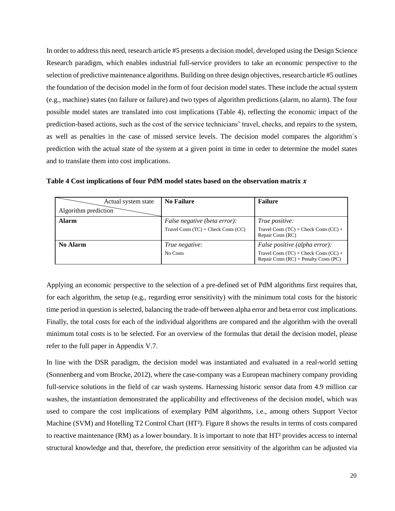In order to address this need, research article #5 presents a decision model, developed using the Design Science Research paradigm, which enables industrial full-service providers to take an economic perspective to the selection of predictive maintenance algorithms. Building on three design objectives, research article #5 outlines the foundation of the decision model in the form of four decision model states. These include the actual system (e.g., machine) states (no failure or failure) and two types of algorithm predictions (alarm, no alarm). The four possible model states are translated into cost implications (Table 4), reflecting the economic impact of the prediction-based actions, such as the cost of the service technicians' travel, checks, and repairs to the system, as well as penalties in the case of missed service levels. The decision model compares the algorithm´s prediction with the actual state of the system at a given point in time in order to determine the model states and to translate them into cost implications.

| Actual system state  | <b>No Failure</b>                        | <b>Failure</b>                                                                           |
|----------------------|------------------------------------------|------------------------------------------------------------------------------------------|
| Algorithm prediction |                                          |                                                                                          |
| <b>Alarm</b>         | <i>False negative (beta error):</i>      | True positive:                                                                           |
|                      | Travel Costs $(TC)$ + Check Costs $(CC)$ | Travel Costs $(TC)$ + Check Costs $(CC)$ +<br>Repair Costs (RC)                          |
| <b>No Alarm</b>      | True negative:                           | <i>False positive (alpha error):</i>                                                     |
|                      | No Costs                                 | Travel Costs $(TC)$ + Check Costs $(CC)$ +<br>Repair Costs $(RC)$ + Penalty Costs $(PC)$ |

**Table 4 Cost implications of four PdM model states based on the observation matrix** 

Applying an economic perspective to the selection of a pre-defined set of PdM algorithms first requires that, for each algorithm, the setup (e.g., regarding error sensitivity) with the minimum total costs for the historic time period in question is selected, balancing the trade-off between alpha error and beta error cost implications. Finally, the total costs for each of the individual algorithms are compared and the algorithm with the overall minimum total costs is to be selected. For an overview of the formulas that detail the decision model, please refer to the full paper in Appendix V.7.

In line with the DSR paradigm, the decision model was instantiated and evaluated in a real-world setting (Sonnenberg and vom Brocke, 2012), where the case-company was a European machinery company providing full-service solutions in the field of car wash systems. Harnessing historic sensor data from 4.9 million car washes, the instantiation demonstrated the applicability and effectiveness of the decision model, which was used to compare the cost implications of exemplary PdM algorithms, i.e., among others Support Vector Machine (SVM) and Hotelling T2 Control Chart (HT<sup>2</sup>). Figure 8 shows the results in terms of costs compared to reactive maintenance (RM) as a lower boundary. It is important to note that HT<sup>2</sup> provides access to internal structural knowledge and that, therefore, the prediction error sensitivity of the algorithm can be adjusted via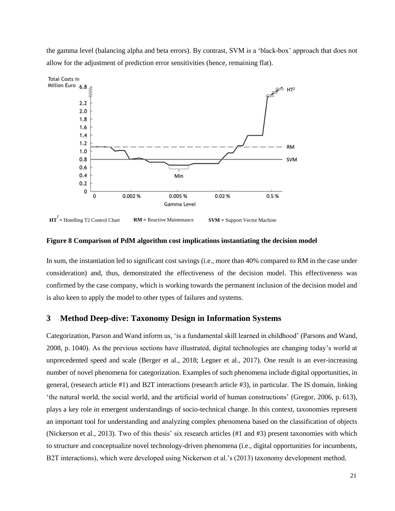the gamma level (balancing alpha and beta errors). By contrast, SVM is a 'black-box' approach that does not allow for the adjustment of prediction error sensitivities (hence, remaining flat).



**Figure 8 Comparison of PdM algorithm cost implications instantiating the decision model**

In sum, the instantiation led to significant cost savings (i.e., more than 40% compared to RM in the case under consideration) and, thus, demonstrated the effectiveness of the decision model. This effectiveness was confirmed by the case company, which is working towards the permanent inclusion of the decision model and is also keen to apply the model to other types of failures and systems.

### <span id="page-26-0"></span>**3 Method Deep-dive: Taxonomy Design in Information Systems**

Categorization, Parson and Wand inform us, 'is a fundamental skill learned in childhood' (Parsons and Wand, 2008, p. 1040). As the previous sections have illustrated, digital technologies are changing today's world at unprecedented speed and scale (Berger et al., 2018; Legner et al., 2017). One result is an ever-increasing number of novel phenomena for categorization. Examples of such phenomena include digital opportunities, in general, (research article #1) and B2T interactions (research article #3), in particular. The IS domain, linking 'the natural world, the social world, and the artificial world of human constructions' (Gregor, 2006, p. 613), plays a key role in emergent understandings of socio-technical change. In this context, taxonomies represent an important tool for understanding and analyzing complex phenomena based on the classification of objects (Nickerson et al., 2013). Two of this thesis' six research articles (#1 and #3) present taxonomies with which to structure and conceptualize novel technology-driven phenomena (i.e., digital opportunities for incumbents, B2T interactions), which were developed using Nickerson et al.'s (2013) taxonomy development method.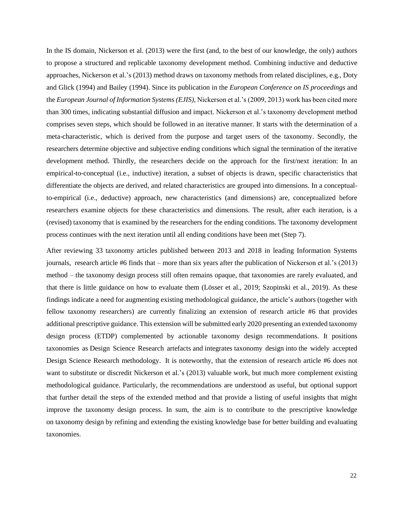In the IS domain, Nickerson et al. (2013) were the first (and, to the best of our knowledge, the only) authors to propose a structured and replicable taxonomy development method. Combining inductive and deductive approaches, Nickerson et al.'s (2013) method draws on taxonomy methods from related disciplines, e.g., Doty and Glick (1994) and Bailey (1994). Since its publication in the *European Conference on IS proceedings* and the *European Journal of Information Systems (EJIS)*, Nickerson et al.'s (2009, 2013) work has been cited more than 300 times, indicating substantial diffusion and impact. Nickerson et al.'s taxonomy development method comprises seven steps, which should be followed in an iterative manner. It starts with the determination of a meta-characteristic, which is derived from the purpose and target users of the taxonomy. Secondly, the researchers determine objective and subjective ending conditions which signal the termination of the iterative development method. Thirdly, the researchers decide on the approach for the first/next iteration: In an empirical-to-conceptual (i.e., inductive) iteration, a subset of objects is drawn, specific characteristics that differentiate the objects are derived, and related characteristics are grouped into dimensions. In a conceptualto-empirical (i.e., deductive) approach, new characteristics (and dimensions) are, conceptualized before researchers examine objects for these characteristics and dimensions. The result, after each iteration, is a (revised) taxonomy that is examined by the researchers for the ending conditions. The taxonomy development process continues with the next iteration until all ending conditions have been met (Step 7).

After reviewing 33 taxonomy articles published between 2013 and 2018 in leading Information Systems journals, research article #6 finds that – more than six years after the publication of Nickerson et al.'s (2013) method – the taxonomy design process still often remains opaque, that taxonomies are rarely evaluated, and that there is little guidance on how to evaluate them (Lösser et al., 2019; Szopinski et al., 2019). As these findings indicate a need for augmenting existing methodological guidance, the article's authors (together with fellow taxonomy researchers) are currently finalizing an extension of research article #6 that provides additional prescriptive guidance. This extension will be submitted early 2020 presenting an extended taxonomy design process (ETDP) complemented by actionable taxonomy design recommendations. It positions taxonomies as Design Science Research artefacts and integrates taxonomy design into the widely accepted Design Science Research methodology. It is noteworthy, that the extension of research article #6 does not want to substitute or discredit Nickerson et al.'s (2013) valuable work, but much more complement existing methodological guidance. Particularly, the recommendations are understood as useful, but optional support that further detail the steps of the extended method and that provide a listing of useful insights that might improve the taxonomy design process. In sum, the aim is to contribute to the prescriptive knowledge on taxonomy design by refining and extending the existing knowledge base for better building and evaluating taxonomies.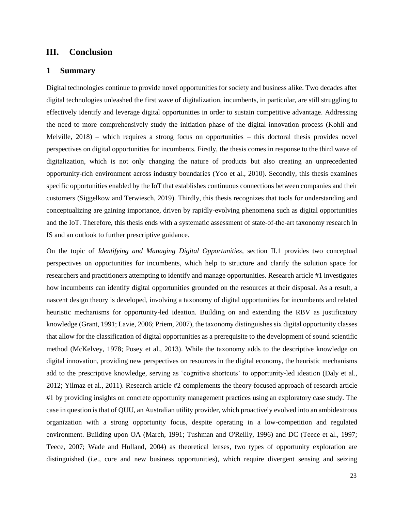## <span id="page-28-0"></span>**III. Conclusion**

### <span id="page-28-1"></span>**1 Summary**

Digital technologies continue to provide novel opportunities for society and business alike. Two decades after digital technologies unleashed the first wave of digitalization, incumbents, in particular, are still struggling to effectively identify and leverage digital opportunities in order to sustain competitive advantage. Addressing the need to more comprehensively study the initiation phase of the digital innovation process (Kohli and Melville, 2018) – which requires a strong focus on opportunities – this doctoral thesis provides novel perspectives on digital opportunities for incumbents. Firstly, the thesis comes in response to the third wave of digitalization, which is not only changing the nature of products but also creating an unprecedented opportunity-rich environment across industry boundaries (Yoo et al., 2010). Secondly, this thesis examines specific opportunities enabled by the IoT that establishes continuous connections between companies and their customers (Siggelkow and Terwiesch, 2019). Thirdly, this thesis recognizes that tools for understanding and conceptualizing are gaining importance, driven by rapidly-evolving phenomena such as digital opportunities and the IoT. Therefore, this thesis ends with a systematic assessment of state-of-the-art taxonomy research in IS and an outlook to further prescriptive guidance.

On the topic of *Identifying and Managing Digital Opportunities,* section II.1 provides two conceptual perspectives on opportunities for incumbents, which help to structure and clarify the solution space for researchers and practitioners attempting to identify and manage opportunities. Research article #1 investigates how incumbents can identify digital opportunities grounded on the resources at their disposal. As a result, a nascent design theory is developed, involving a taxonomy of digital opportunities for incumbents and related heuristic mechanisms for opportunity-led ideation. Building on and extending the RBV as justificatory knowledge (Grant, 1991; Lavie, 2006; Priem, 2007), the taxonomy distinguishes six digital opportunity classes that allow for the classification of digital opportunities as a prerequisite to the development of sound scientific method (McKelvey, 1978; Posey et al., 2013). While the taxonomy adds to the descriptive knowledge on digital innovation, providing new perspectives on resources in the digital economy, the heuristic mechanisms add to the prescriptive knowledge, serving as 'cognitive shortcuts' to opportunity-led ideation (Daly et al., 2012; Yilmaz et al., 2011). Research article #2 complements the theory-focused approach of research article #1 by providing insights on concrete opportunity management practices using an exploratory case study. The case in question is that of QUU, an Australian utility provider, which proactively evolved into an ambidextrous organization with a strong opportunity focus, despite operating in a low-competition and regulated environment. Building upon OA (March, 1991; Tushman and O'Reilly, 1996) and DC (Teece et al., 1997; Teece, 2007; Wade and Hulland, 2004) as theoretical lenses, two types of opportunity exploration are distinguished (i.e., core and new business opportunities), which require divergent sensing and seizing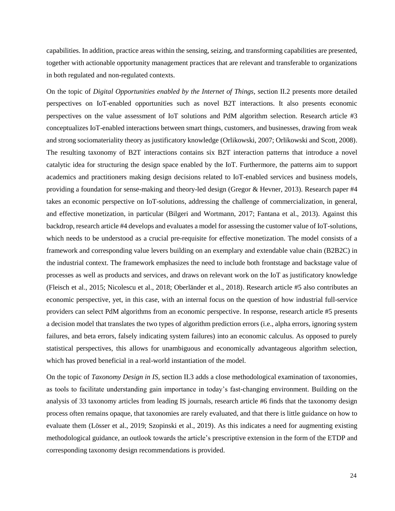capabilities. In addition, practice areas within the sensing, seizing, and transforming capabilities are presented, together with actionable opportunity management practices that are relevant and transferable to organizations in both regulated and non-regulated contexts.

On the topic of *Digital Opportunities enabled by the Internet of Things,* section II.2 presents more detailed perspectives on IoT-enabled opportunities such as novel B2T interactions. It also presents economic perspectives on the value assessment of IoT solutions and PdM algorithm selection. Research article #3 conceptualizes IoT-enabled interactions between smart things, customers, and businesses, drawing from weak and strong sociomateriality theory as justificatory knowledge (Orlikowski, 2007; Orlikowski and Scott, 2008). The resulting taxonomy of B2T interactions contains six B2T interaction patterns that introduce a novel catalytic idea for structuring the design space enabled by the IoT. Furthermore, the patterns aim to support academics and practitioners making design decisions related to IoT-enabled services and business models, providing a foundation for sense-making and theory-led design (Gregor & Hevner, 2013). Research paper #4 takes an economic perspective on IoT-solutions, addressing the challenge of commercialization, in general, and effective monetization, in particular (Bilgeri and Wortmann, 2017; Fantana et al., 2013). Against this backdrop, research article #4 develops and evaluates a model for assessing the customer value of IoT-solutions, which needs to be understood as a crucial pre-requisite for effective monetization. The model consists of a framework and corresponding value levers building on an exemplary and extendable value chain (B2B2C) in the industrial context. The framework emphasizes the need to include both frontstage and backstage value of processes as well as products and services, and draws on relevant work on the IoT as justificatory knowledge (Fleisch et al., 2015; Nicolescu et al., 2018; Oberländer et al., 2018). Research article #5 also contributes an economic perspective, yet, in this case, with an internal focus on the question of how industrial full-service providers can select PdM algorithms from an economic perspective. In response, research article #5 presents a decision model that translates the two types of algorithm prediction errors (i.e., alpha errors, ignoring system failures, and beta errors, falsely indicating system failures) into an economic calculus. As opposed to purely statistical perspectives, this allows for unambiguous and economically advantageous algorithm selection, which has proved beneficial in a real-world instantiation of the model.

On the topic of *Taxonomy Design in IS,* section II.3 adds a close methodological examination of taxonomies, as tools to facilitate understanding gain importance in today's fast-changing environment. Building on the analysis of 33 taxonomy articles from leading IS journals, research article #6 finds that the taxonomy design process often remains opaque, that taxonomies are rarely evaluated, and that there is little guidance on how to evaluate them (Lösser et al., 2019; Szopinski et al., 2019). As this indicates a need for augmenting existing methodological guidance, an outlook towards the article's prescriptive extension in the form of the ETDP and corresponding taxonomy design recommendations is provided.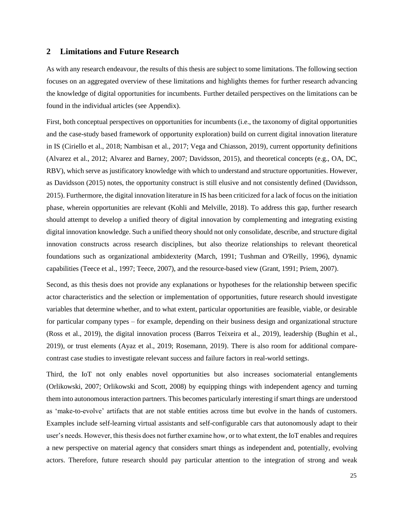#### <span id="page-30-0"></span>**2 Limitations and Future Research**

As with any research endeavour, the results of this thesis are subject to some limitations. The following section focuses on an aggregated overview of these limitations and highlights themes for further research advancing the knowledge of digital opportunities for incumbents. Further detailed perspectives on the limitations can be found in the individual articles (see Appendix).

First, both conceptual perspectives on opportunities for incumbents (i.e., the taxonomy of digital opportunities and the case-study based framework of opportunity exploration) build on current digital innovation literature in IS (Ciriello et al., 2018; Nambisan et al., 2017; Vega and Chiasson, 2019), current opportunity definitions (Alvarez et al., 2012; Alvarez and Barney, 2007; Davidsson, 2015), and theoretical concepts (e.g., OA, DC, RBV), which serve as justificatory knowledge with which to understand and structure opportunities. However, as Davidsson (2015) notes, the opportunity construct is still elusive and not consistently defined (Davidsson, 2015). Furthermore, the digital innovation literature in IS has been criticized for a lack of focus on the initiation phase, wherein opportunities are relevant (Kohli and Melville, 2018). To address this gap, further research should attempt to develop a unified theory of digital innovation by complementing and integrating existing digital innovation knowledge. Such a unified theory should not only consolidate, describe, and structure digital innovation constructs across research disciplines, but also theorize relationships to relevant theoretical foundations such as organizational ambidexterity (March, 1991; Tushman and O'Reilly, 1996), dynamic capabilities (Teece et al., 1997; Teece, 2007), and the resource-based view (Grant, 1991; Priem, 2007).

Second, as this thesis does not provide any explanations or hypotheses for the relationship between specific actor characteristics and the selection or implementation of opportunities, future research should investigate variables that determine whether, and to what extent, particular opportunities are feasible, viable, or desirable for particular company types – for example, depending on their business design and organizational structure (Ross et al., 2019), the digital innovation process (Barros Teixeira et al., 2019), leadership (Bughin et al., 2019), or trust elements (Ayaz et al., 2019; Rosemann, 2019). There is also room for additional comparecontrast case studies to investigate relevant success and failure factors in real-world settings.

Third, the IoT not only enables novel opportunities but also increases sociomaterial entanglements (Orlikowski, 2007; Orlikowski and Scott, 2008) by equipping things with independent agency and turning them into autonomous interaction partners. This becomes particularly interesting if smart things are understood as 'make-to-evolve' artifacts that are not stable entities across time but evolve in the hands of customers. Examples include self-learning virtual assistants and self-configurable cars that autonomously adapt to their user's needs. However, this thesis does not further examine how, or to what extent, the IoT enables and requires a new perspective on material agency that considers smart things as independent and, potentially, evolving actors. Therefore, future research should pay particular attention to the integration of strong and weak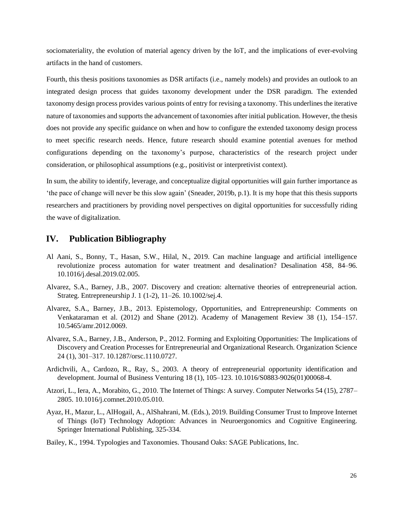sociomateriality, the evolution of material agency driven by the IoT, and the implications of ever-evolving artifacts in the hand of customers.

Fourth, this thesis positions taxonomies as DSR artifacts (i.e., namely models) and provides an outlook to an integrated design process that guides taxonomy development under the DSR paradigm. The extended taxonomy design process provides various points of entry for revising a taxonomy. This underlines the iterative nature of taxonomies and supports the advancement of taxonomies after initial publication. However, the thesis does not provide any specific guidance on when and how to configure the extended taxonomy design process to meet specific research needs. Hence, future research should examine potential avenues for method configurations depending on the taxonomy's purpose, characteristics of the research project under consideration, or philosophical assumptions (e.g., positivist or interpretivist context).

In sum, the ability to identify, leverage, and conceptualize digital opportunities will gain further importance as 'the pace of change will never be this slow again' (Sneader, 2019b, p.1). It is my hope that this thesis supports researchers and practitioners by providing novel perspectives on digital opportunities for successfully riding the wave of digitalization.

# <span id="page-31-0"></span>**IV. Publication Bibliography**

- Al Aani, S., Bonny, T., Hasan, S.W., Hilal, N., 2019. Can machine language and artificial intelligence revolutionize process automation for water treatment and desalination? Desalination 458, 84–96. 10.1016/j.desal.2019.02.005.
- Alvarez, S.A., Barney, J.B., 2007. Discovery and creation: alternative theories of entrepreneurial action. Strateg. Entrepreneurship J. 1 (1-2), 11–26. 10.1002/sej.4.
- Alvarez, S.A., Barney, J.B., 2013. Epistemology, Opportunities, and Entrepreneurship: Comments on Venkataraman et al. (2012) and Shane (2012). Academy of Management Review 38 (1), 154–157. 10.5465/amr.2012.0069.
- Alvarez, S.A., Barney, J.B., Anderson, P., 2012. Forming and Exploiting Opportunities: The Implications of Discovery and Creation Processes for Entrepreneurial and Organizational Research. Organization Science 24 (1), 301–317. 10.1287/orsc.1110.0727.
- Ardichvili, A., Cardozo, R., Ray, S., 2003. A theory of entrepreneurial opportunity identification and development. Journal of Business Venturing 18 (1), 105–123. 10.1016/S0883-9026(01)00068-4.
- Atzori, L., Iera, A., Morabito, G., 2010. The Internet of Things: A survey. Computer Networks 54 (15), 2787– 2805. 10.1016/j.comnet.2010.05.010.
- Ayaz, H., Mazur, L., AlHogail, A., AlShahrani, M. (Eds.), 2019. Building Consumer Trust to Improve Internet of Things (IoT) Technology Adoption: Advances in Neuroergonomics and Cognitive Engineering. Springer International Publishing, 325-334.
- Bailey, K., 1994. Typologies and Taxonomies. Thousand Oaks: SAGE Publications, Inc.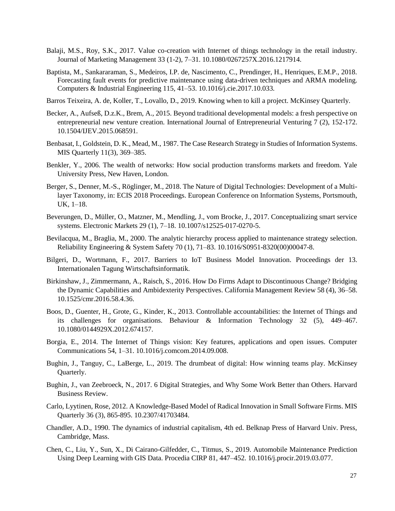- Balaji, M.S., Roy, S.K., 2017. Value co-creation with Internet of things technology in the retail industry. Journal of Marketing Management 33 (1-2), 7–31. 10.1080/0267257X.2016.1217914.
- Baptista, M., Sankararaman, S., Medeiros, I.P. de, Nascimento, C., Prendinger, H., Henriques, E.M.P., 2018. Forecasting fault events for predictive maintenance using data-driven techniques and ARMA modeling. Computers & Industrial Engineering 115, 41–53. 10.1016/j.cie.2017.10.033.
- Barros Teixeira, A. de, Koller, T., Lovallo, D., 2019. Knowing when to kill a project. McKinsey Quarterly.
- Becker, A., Aufseß, D.z.K., Brem, A., 2015. Beyond traditional developmental models: a fresh perspective on entrepreneurial new venture creation. International Journal of Entrepreneurial Venturing 7 (2), 152-172. 10.1504/IJEV.2015.068591.
- Benbasat, I., Goldstein, D. K., Mead, M., 1987. The Case Research Strategy in Studies of Information Systems. MIS Quarterly 11(3), 369–385.
- Benkler, Y., 2006. The wealth of networks: How social production transforms markets and freedom. Yale University Press, New Haven, London.
- Berger, S., Denner, M.-S., Röglinger, M., 2018. The Nature of Digital Technologies: Development of a Multilayer Taxonomy, in: ECIS 2018 Proceedings. European Conference on Information Systems, Portsmouth, UK, 1–18.
- Beverungen, D., Müller, O., Matzner, M., Mendling, J., vom Brocke, J., 2017. Conceptualizing smart service systems. Electronic Markets 29 (1), 7–18. 10.1007/s12525-017-0270-5.
- Bevilacqua, M., Braglia, M., 2000. The analytic hierarchy process applied to maintenance strategy selection. Reliability Engineering & System Safety 70 (1), 71–83. 10.1016/S0951-8320(00)00047-8.
- Bilgeri, D., Wortmann, F., 2017. Barriers to IoT Business Model Innovation. Proceedings der 13. Internationalen Tagung Wirtschaftsinformatik.
- Birkinshaw, J., Zimmermann, A., Raisch, S., 2016. How Do Firms Adapt to Discontinuous Change? Bridging the Dynamic Capabilities and Ambidexterity Perspectives. California Management Review 58 (4), 36–58. 10.1525/cmr.2016.58.4.36.
- Boos, D., Guenter, H., Grote, G., Kinder, K., 2013. Controllable accountabilities: the Internet of Things and its challenges for organisations. Behaviour & Information Technology 32 (5), 449–467. 10.1080/0144929X.2012.674157.
- Borgia, E., 2014. The Internet of Things vision: Key features, applications and open issues. Computer Communications 54, 1–31. 10.1016/j.comcom.2014.09.008.
- Bughin, J., Tanguy, C., LaBerge, L., 2019. The drumbeat of digital: How winning teams play. McKinsey Quarterly.
- Bughin, J., van Zeebroeck, N., 2017. 6 Digital Strategies, and Why Some Work Better than Others. Harvard Business Review.
- Carlo, Lyytinen, Rose, 2012. A Knowledge-Based Model of Radical Innovation in Small Software Firms. MIS Quarterly 36 (3), 865-895. 10.2307/41703484.
- Chandler, A.D., 1990. The dynamics of industrial capitalism, 4th ed. Belknap Press of Harvard Univ. Press, Cambridge, Mass.
- Chen, C., Liu, Y., Sun, X., Di Cairano-Gilfedder, C., Titmus, S., 2019. Automobile Maintenance Prediction Using Deep Learning with GIS Data. Procedia CIRP 81, 447–452. 10.1016/j.procir.2019.03.077.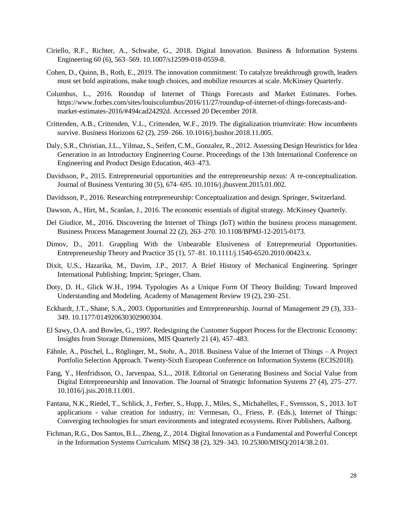- Ciriello, R.F., Richter, A., Schwabe, G., 2018. Digital Innovation. Business & Information Systems Engineering 60 (6), 563–569. 10.1007/s12599-018-0559-8.
- Cohen, D., Quinn, B., Roth, E., 2019. The innovation commitment: To catalyze breakthrough growth, leaders must set bold aspirations, make tough choices, and mobilize resources at scale. McKinsey Quarterly.
- Columbus, L., 2016. Roundup of Internet of Things Forecasts and Market Estimates. Forbes. https://www.forbes.com/sites/louiscolumbus/2016/11/27/roundup-of-internet-of-things-forecasts-andmarket-estimates-2016/#494cad24292d. Accessed 20 December 2018.
- Crittenden, A.B., Crittenden, V.L., Crittenden, W.F., 2019. The digitalization triumvirate: How incumbents survive. Business Horizons 62 (2), 259–266. 10.1016/j.bushor.2018.11.005.
- Daly, S.R., Christian, J.L., Yilmaz, S., Seifert, C.M., Gonzalez, R., 2012. Assessing Design Heuristics for Idea Generation in an Introductory Engineering Course. Proceedings of the 13th International Conference on Engineering and Product Design Education, 463–473.
- Davidsson, P., 2015. Entrepreneurial opportunities and the entrepreneurship nexus: A re-conceptualization. Journal of Business Venturing 30 (5), 674–695. 10.1016/j.jbusvent.2015.01.002.
- Davidsson, P., 2016. Researching entrepreneurship: Conceptualization and design. Springer, Switzerland.
- Dawson, A., Hirt, M., Scanlan, J., 2016. The economic essentials of digital strategy. McKinsey Quarterly.
- Del Giudice, M., 2016. Discovering the Internet of Things (IoT) within the business process management. Business Process Management Journal 22 (2), 263–270. 10.1108/BPMJ-12-2015-0173.
- Dimov, D., 2011. Grappling With the Unbearable Elusiveness of Entrepreneurial Opportunities. Entrepreneurship Theory and Practice 35 (1), 57–81. 10.1111/j.1540-6520.2010.00423.x.
- Dixit, U.S., Hazarika, M., Davim, J.P., 2017. A Brief History of Mechanical Engineering. Springer International Publishing; Imprint; Springer, Cham.
- Doty, D. H., Glick W.H., 1994. Typologies As a Unique Form Of Theory Building: Toward Improved Understanding and Modeling. Academy of Management Review 19 (2), 230–251.
- Eckhardt, J.T., Shane, S.A., 2003. Opportunities and Entrepreneurship. Journal of Management 29 (3), 333– 349. 10.1177/014920630302900304.
- El Sawy, O.A. and Bowles, G., 1997. Redesigning the Customer Support Process for the Electronic Economy: Insights from Storage Dimensions, MIS Quarterly 21 (4), 457–483.
- Fähnle, A., Püschel, L., Röglinger, M., Stohr, A., 2018. Business Value of the Internet of Things A Project Portfolio Selection Approach. Twenty-Sixth European Conference on Information Systems (ECIS2018).
- Fang, Y., Henfridsson, O., Jarvenpaa, S.L., 2018. Editorial on Generating Business and Social Value from Digital Entrepreneurship and Innovation. The Journal of Strategic Information Systems 27 (4), 275–277. 10.1016/j.jsis.2018.11.001.
- Fantana, N.K., Riedel, T., Schlick, J., Ferber, S., Hupp, J., Miles, S., Michahelles, F., Svensson, S., 2013. IoT applications - value creation for industry, in: Vermesan, O., Friess, P. (Eds.), Internet of Things: Converging technologies for smart environments and integrated ecosystems. River Publishers, Aalborg.
- Fichman, R.G., Dos Santos, B.L., Zheng, Z., 2014. Digital Innovation as a Fundamental and Powerful Concept in the Information Systems Curriculum. MISQ 38 (2), 329–343. 10.25300/MISQ/2014/38.2.01.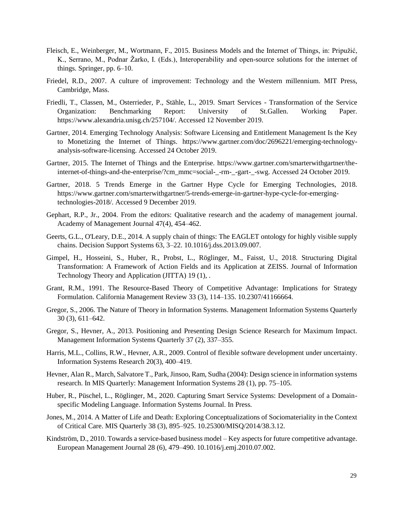- Fleisch, E., Weinberger, M., Wortmann, F., 2015. Business Models and the Internet of Things, in: Pripužić, K., Serrano, M., Podnar Žarko, I. (Eds.), Interoperability and open-source solutions for the internet of things. Springer, pp. 6–10.
- Friedel, R.D., 2007. A culture of improvement: Technology and the Western millennium. MIT Press, Cambridge, Mass.
- Friedli, T., Classen, M., Osterrieder, P., Stähle, L., 2019. Smart Services Transformation of the Service Organization: Benchmarking Report: University of St.Gallen. Working Paper. https://www.alexandria.unisg.ch/257104/. Accessed 12 November 2019.
- Gartner, 2014. Emerging Technology Analysis: Software Licensing and Entitlement Management Is the Key to Monetizing the Internet of Things. https://www.gartner.com/doc/2696221/emerging-technologyanalysis-software-licensing. Accessed 24 October 2019.
- Gartner, 2015. The Internet of Things and the Enterprise. https://www.gartner.com/smarterwithgartner/theinternet-of-things-and-the-enterprise/?cm\_mmc=social-\_-rm-\_-gart-\_-swg. Accessed 24 October 2019.
- Gartner, 2018. 5 Trends Emerge in the Gartner Hype Cycle for Emerging Technologies, 2018. https://www.gartner.com/smarterwithgartner/5-trends-emerge-in-gartner-hype-cycle-for-emergingtechnologies-2018/. Accessed 9 December 2019.
- Gephart, R.P., Jr., 2004. From the editors: Qualitative research and the academy of management journal. Academy of Management Journal 47(4), 454–462.
- Geerts, G.L., O'Leary, D.E., 2014. A supply chain of things: The EAGLET ontology for highly visible supply chains. Decision Support Systems 63, 3–22. 10.1016/j.dss.2013.09.007.
- Gimpel, H., Hosseini, S., Huber, R., Probst, L., Röglinger, M., Faisst, U., 2018. Structuring Digital Transformation: A Framework of Action Fields and its Application at ZEISS. Journal of Information Technology Theory and Application (JITTA) 19 (1), .
- Grant, R.M., 1991. The Resource-Based Theory of Competitive Advantage: Implications for Strategy Formulation. California Management Review 33 (3), 114–135. 10.2307/41166664.
- Gregor, S., 2006. The Nature of Theory in Information Systems. Management Information Systems Quarterly 30 (3), 611–642.
- Gregor, S., Hevner, A., 2013. Positioning and Presenting Design Science Research for Maximum Impact. Management Information Systems Quarterly 37 (2), 337–355.
- Harris, M.L., Collins, R.W., Hevner, A.R., 2009. Control of flexible software development under uncertainty. Information Systems Research 20(3), 400–419.
- Hevner, Alan R., March, Salvatore T., Park, Jinsoo, Ram, Sudha (2004): Design science in information systems research. In MIS Quarterly: Management Information Systems 28 (1), pp. 75–105.
- Huber, R., Püschel, L., Röglinger, M., 2020. Capturing Smart Service Systems: Development of a Domainspecific Modeling Language. Information Systems Journal. In Press*.*
- Jones, M., 2014. A Matter of Life and Death: Exploring Conceptualizations of Sociomateriality in the Context of Critical Care. MIS Quarterly 38 (3), 895–925. 10.25300/MISQ/2014/38.3.12.
- Kindström, D., 2010. Towards a service-based business model Key aspects for future competitive advantage. European Management Journal 28 (6), 479–490. 10.1016/j.emj.2010.07.002.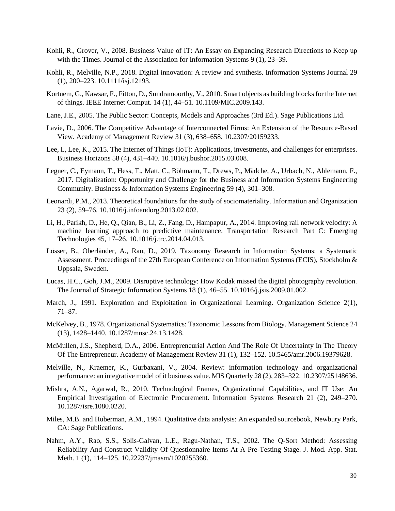- Kohli, R., Grover, V., 2008. Business Value of IT: An Essay on Expanding Research Directions to Keep up with the Times. Journal of the Association for Information Systems 9 (1), 23–39.
- Kohli, R., Melville, N.P., 2018. Digital innovation: A review and synthesis. Information Systems Journal 29 (1), 200–223. 10.1111/isj.12193.
- Kortuem, G., Kawsar, F., Fitton, D., Sundramoorthy, V., 2010. Smart objects as building blocks for the Internet of things. IEEE Internet Comput. 14 (1), 44–51. 10.1109/MIC.2009.143.
- Lane, J.E., 2005. The Public Sector: Concepts, Models and Approaches (3rd Ed.). Sage Publications Ltd.
- Lavie, D., 2006. The Competitive Advantage of Interconnected Firms: An Extension of the Resource-Based View. Academy of Management Review 31 (3), 638–658. 10.2307/20159233.
- Lee, I., Lee, K., 2015. The Internet of Things (IoT): Applications, investments, and challenges for enterprises. Business Horizons 58 (4), 431–440. 10.1016/j.bushor.2015.03.008.
- Legner, C., Eymann, T., Hess, T., Matt, C., Böhmann, T., Drews, P., Mädche, A., Urbach, N., Ahlemann, F., 2017. Digitalization: Opportunity and Challenge for the Business and Information Systems Engineering Community. Business & Information Systems Engineering 59 (4), 301–308.
- Leonardi, P.M., 2013. Theoretical foundations for the study of sociomateriality. Information and Organization 23 (2), 59–76. 10.1016/j.infoandorg.2013.02.002.
- Li, H., Parikh, D., He, Q., Qian, B., Li, Z., Fang, D., Hampapur, A., 2014. Improving rail network velocity: A machine learning approach to predictive maintenance. Transportation Research Part C: Emerging Technologies 45, 17–26. 10.1016/j.trc.2014.04.013.
- Lösser, B., Oberländer, A., Rau, D., 2019. Taxonomy Research in Information Systems: a Systematic Assessment. Proceedings of the 27th European Conference on Information Systems (ECIS), Stockholm & Uppsala, Sweden.
- Lucas, H.C., Goh, J.M., 2009. Disruptive technology: How Kodak missed the digital photography revolution. The Journal of Strategic Information Systems 18 (1), 46–55. 10.1016/j.jsis.2009.01.002.
- March, J., 1991. Exploration and Exploitation in Organizational Learning. Organization Science 2(1), 71–87.
- McKelvey, B., 1978. Organizational Systematics: Taxonomic Lessons from Biology. Management Science 24 (13), 1428–1440. 10.1287/mnsc.24.13.1428.
- McMullen, J.S., Shepherd, D.A., 2006. Entrepreneurial Action And The Role Of Uncertainty In The Theory Of The Entrepreneur. Academy of Management Review 31 (1), 132–152. 10.5465/amr.2006.19379628.
- Melville, N., Kraemer, K., Gurbaxani, V., 2004. Review: information technology and organizational performance: an integrative model of it business value. MIS Quarterly 28 (2), 283–322. 10.2307/25148636.
- Mishra, A.N., Agarwal, R., 2010. Technological Frames, Organizational Capabilities, and IT Use: An Empirical Investigation of Electronic Procurement. Information Systems Research 21 (2), 249–270. 10.1287/isre.1080.0220.
- Miles, M.B. and Huberman, A.M., 1994. Qualitative data analysis: An expanded sourcebook, Newbury Park, CA: Sage Publications.
- Nahm, A.Y., Rao, S.S., Solis-Galvan, L.E., Ragu-Nathan, T.S., 2002. The Q-Sort Method: Assessing Reliability And Construct Validity Of Questionnaire Items At A Pre-Testing Stage. J. Mod. App. Stat. Meth. 1 (1), 114–125. 10.22237/jmasm/1020255360.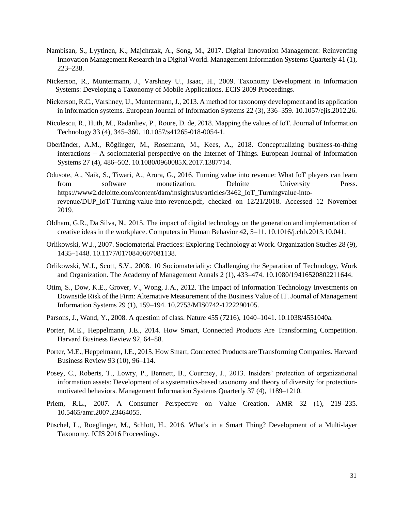- Nambisan, S., Lyytinen, K., Majchrzak, A., Song, M., 2017. Digital Innovation Management: Reinventing Innovation Management Research in a Digital World. Management Information Systems Quarterly 41 (1), 223–238.
- Nickerson, R., Muntermann, J., Varshney U., Isaac, H., 2009. Taxonomy Development in Information Systems: Developing a Taxonomy of Mobile Applications. ECIS 2009 Proceedings.
- Nickerson, R.C., Varshney, U., Muntermann, J., 2013. A method for taxonomy development and its application in information systems. European Journal of Information Systems 22 (3), 336–359. 10.1057/ejis.2012.26.
- Nicolescu, R., Huth, M., Radanliev, P., Roure, D. de, 2018. Mapping the values of IoT. Journal of Information Technology 33 (4), 345–360. 10.1057/s41265-018-0054-1.
- Oberländer, A.M., Röglinger, M., Rosemann, M., Kees, A., 2018. Conceptualizing business-to-thing interactions – A sociomaterial perspective on the Internet of Things. European Journal of Information Systems 27 (4), 486–502. 10.1080/0960085X.2017.1387714.
- Odusote, A., Naik, S., Tiwari, A., Arora, G., 2016. Turning value into revenue: What IoT players can learn from software monetization. Deloitte University Press. https://www2.deloitte.com/content/dam/insights/us/articles/3462\_IoT\_Turningvalue-intorevenue/DUP\_IoT-Turning-value-into-revenue.pdf, checked on 12/21/2018. Accessed 12 November 2019.
- Oldham, G.R., Da Silva, N., 2015. The impact of digital technology on the generation and implementation of creative ideas in the workplace. Computers in Human Behavior 42, 5–11. 10.1016/j.chb.2013.10.041.
- Orlikowski, W.J., 2007. Sociomaterial Practices: Exploring Technology at Work. Organization Studies 28 (9), 1435–1448. 10.1177/0170840607081138.
- Orlikowski, W.J., Scott, S.V., 2008. 10 Sociomateriality: Challenging the Separation of Technology, Work and Organization. The Academy of Management Annals 2 (1), 433–474. 10.1080/19416520802211644.
- Otim, S., Dow, K.E., Grover, V., Wong, J.A., 2012. The Impact of Information Technology Investments on Downside Risk of the Firm: Alternative Measurement of the Business Value of IT. Journal of Management Information Systems 29 (1), 159–194. 10.2753/MIS0742-1222290105.
- Parsons, J., Wand, Y., 2008. A question of class. Nature 455 (7216), 1040–1041. 10.1038/4551040a.
- Porter, M.E., Heppelmann, J.E., 2014. How Smart, Connected Products Are Transforming Competition. Harvard Business Review 92, 64–88.
- Porter, M.E., Heppelmann, J.E., 2015. How Smart, Connected Products are Transforming Companies. Harvard Business Review 93 (10), 96–114.
- Posey, C., Roberts, T., Lowry, P., Bennett, B., Courtney, J., 2013. Insiders' protection of organizational information assets: Development of a systematics-based taxonomy and theory of diversity for protectionmotivated behaviors. Management Information Systems Quarterly 37 (4), 1189–1210.
- Priem, R.L., 2007. A Consumer Perspective on Value Creation. AMR 32 (1), 219–235. 10.5465/amr.2007.23464055.
- Püschel, L., Roeglinger, M., Schlott, H., 2016. What's in a Smart Thing? Development of a Multi-layer Taxonomy. ICIS 2016 Proceedings.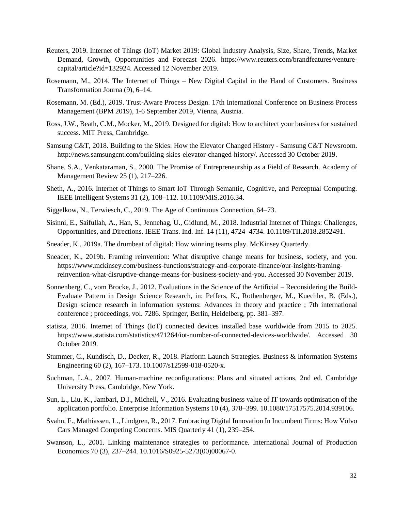- Reuters, 2019. Internet of Things (IoT) Market 2019: Global Industry Analysis, Size, Share, Trends, Market Demand, Growth, Opportunities and Forecast 2026. https://www.reuters.com/brandfeatures/venturecapital/article?id=132924. Accessed 12 November 2019.
- Rosemann, M., 2014. The Internet of Things New Digital Capital in the Hand of Customers. Business Transformation Journa (9), 6–14.
- Rosemann, M. (Ed.), 2019. Trust-Aware Process Design. 17th International Conference on Business Process Management (BPM 2019), 1-6 September 2019, Vienna, Austria.
- Ross, J.W., Beath, C.M., Mocker, M., 2019. Designed for digital: How to architect your business for sustained success. MIT Press, Cambridge.
- Samsung C&T, 2018. Building to the Skies: How the Elevator Changed History Samsung C&T Newsroom. http://news.samsungcnt.com/building-skies-elevator-changed-history/. Accessed 30 October 2019.
- Shane, S.A., Venkataraman, S., 2000. The Promise of Entrepreneurship as a Field of Research. Academy of Management Review 25 (1), 217–226.
- Sheth, A., 2016. Internet of Things to Smart IoT Through Semantic, Cognitive, and Perceptual Computing. IEEE Intelligent Systems 31 (2), 108–112. 10.1109/MIS.2016.34.
- Siggelkow, N., Terwiesch, C., 2019. The Age of Continuous Connection, 64–73.
- Sisinni, E., Saifullah, A., Han, S., Jennehag, U., Gidlund, M., 2018. Industrial Internet of Things: Challenges, Opportunities, and Directions. IEEE Trans. Ind. Inf. 14 (11), 4724–4734. 10.1109/TII.2018.2852491.
- Sneader, K., 2019a. The drumbeat of digital: How winning teams play. McKinsey Quarterly.
- Sneader, K., 2019b. Framing reinvention: What disruptive change means for business, society, and you. https://www.mckinsey.com/business-functions/strategy-and-corporate-finance/our-insights/framingreinvention-what-disruptive-change-means-for-business-society-and-you. Accessed 30 November 2019.
- Sonnenberg, C., vom Brocke, J., 2012. Evaluations in the Science of the Artificial Reconsidering the Build-Evaluate Pattern in Design Science Research, in: Peffers, K., Rothenberger, M., Kuechler, B. (Eds.), Design science research in information systems: Advances in theory and practice ; 7th international conference ; proceedings, vol. 7286. Springer, Berlin, Heidelberg, pp. 381–397.
- statista, 2016. Internet of Things (IoT) connected devices installed base worldwide from 2015 to 2025. https://www.statista.com/statistics/471264/iot-number-of-connected-devices-worldwide/. Accessed 30 October 2019.
- Stummer, C., Kundisch, D., Decker, R., 2018. Platform Launch Strategies. Business & Information Systems Engineering 60 (2), 167–173. 10.1007/s12599-018-0520-x.
- Suchman, L.A., 2007. Human-machine reconfigurations: Plans and situated actions, 2nd ed. Cambridge University Press, Cambridge, New York.
- Sun, L., Liu, K., Jambari, D.I., Michell, V., 2016. Evaluating business value of IT towards optimisation of the application portfolio. Enterprise Information Systems 10 (4), 378–399. 10.1080/17517575.2014.939106.
- Svahn, F., Mathiassen, L., Lindgren, R., 2017. Embracing Digital Innovation In Incumbent Firms: How Volvo Cars Managed Competing Concerns. MIS Quarterly 41 (1), 239–254.
- Swanson, L., 2001. Linking maintenance strategies to performance. International Journal of Production Economics 70 (3), 237–244. 10.1016/S0925-5273(00)00067-0.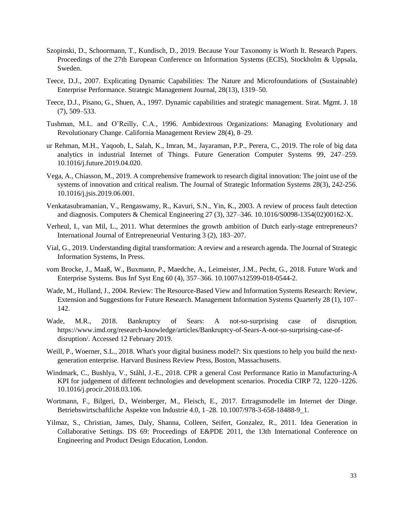- Szopinski, D., Schoormann, T., Kundisch, D., 2019. Because Your Taxonomy is Worth It. Research Papers. Proceedings of the 27th European Conference on Information Systems (ECIS), Stockholm & Uppsala, Sweden.
- Teece, D.J., 2007. Explicating Dynamic Capabilities: The Nature and Microfoundations of (Sustainable) Enterprise Performance. Strategic Management Journal, 28(13), 1319–50.
- Teece, D.J., Pisano, G., Shuen, A., 1997. Dynamic capabilities and strategic management. Strat. Mgmt. J. 18 (7), 509–533.
- Tushman, M.L. and O'Reilly, C.A., 1996. Ambidextrous Organizations: Managing Evolutionary and Revolutionary Change. California Management Review 28(4), 8–29.
- ur Rehman, M.H., Yaqoob, I., Salah, K., Imran, M., Jayaraman, P.P., Perera, C., 2019. The role of big data analytics in industrial Internet of Things. Future Generation Computer Systems 99, 247–259. 10.1016/j.future.2019.04.020.
- Vega, A., Chiasson, M., 2019. A comprehensive framework to research digital innovation: The joint use of the systems of innovation and critical realism. The Journal of Strategic Information Systems 28(3), 242-256. 10.1016/j.jsis.2019.06.001.
- Venkatasubramanian, V., Rengaswamy, R., Kavuri, S.N., Yin, K., 2003. A review of process fault detection and diagnosis. Computers & Chemical Engineering 27 (3), 327–346. 10.1016/S0098-1354(02)00162-X.
- Verheul, I., van Mil, L., 2011. What determines the growth ambition of Dutch early-stage entrepreneurs? International Journal of Entrepreneurial Venturing 3 (2), 183–207.
- Vial, G., 2019. Understanding digital transformation: A review and a research agenda. The Journal of Strategic Information Systems, In Press.
- vom Brocke, J., Maaß, W., Buxmann, P., Maedche, A., Leimeister, J.M., Pecht, G., 2018. Future Work and Enterprise Systems. Bus Inf Syst Eng 60 (4), 357–366. 10.1007/s12599-018-0544-2.
- Wade, M., Hulland, J., 2004. Review: The Resource-Based View and Information Systems Research: Review, Extension and Suggestions for Future Research. Management Information Systems Quarterly 28 (1), 107– 142.
- Wade, M.R., 2018. Bankruptcy of Sears: A not-so-surprising case of disruption. https://www.imd.org/research-knowledge/articles/Bankruptcy-of-Sears-A-not-so-surprising-case-ofdisruption/. Accessed 12 February 2019.
- Weill, P., Woerner, S.L., 2018. What's your digital business model?: Six questions to help you build the nextgeneration enterprise. Harvard Business Review Press, Boston, Massachusetts.
- Windmark, C., Bushlya, V., Ståhl, J.-E., 2018. CPR a general Cost Performance Ratio in Manufacturing-A KPI for judgement of different technologies and development scenarios. Procedia CIRP 72, 1220–1226. 10.1016/j.procir.2018.03.106.
- Wortmann, F., Bilgeri, D., Weinberger, M., Fleisch, E., 2017. Ertragsmodelle im Internet der Dinge. Betriebswirtschaftliche Aspekte von Industrie 4.0, 1–28. 10.1007/978-3-658-18488-9\_1.
- Yilmaz, S., Christian, James, Daly, Shanna, Colleen, Seifert, Gonzalez, R., 2011. Idea Generation in Collaborative Settings. DS 69: Proceedings of E&PDE 2011, the 13th International Conference on Engineering and Product Design Education, London.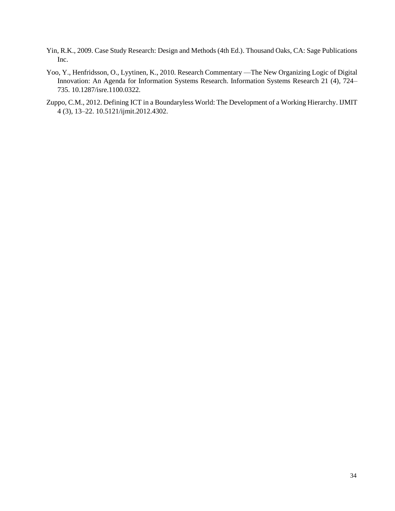- Yin, R.K., 2009. Case Study Research: Design and Methods (4th Ed.). Thousand Oaks, CA: Sage Publications Inc.
- Yoo, Y., Henfridsson, O., Lyytinen, K., 2010. Research Commentary —The New Organizing Logic of Digital Innovation: An Agenda for Information Systems Research. Information Systems Research 21 (4), 724– 735. 10.1287/isre.1100.0322.
- Zuppo, C.M., 2012. Defining ICT in a Boundaryless World: The Development of a Working Hierarchy. IJMIT 4 (3), 13–22. 10.5121/ijmit.2012.4302.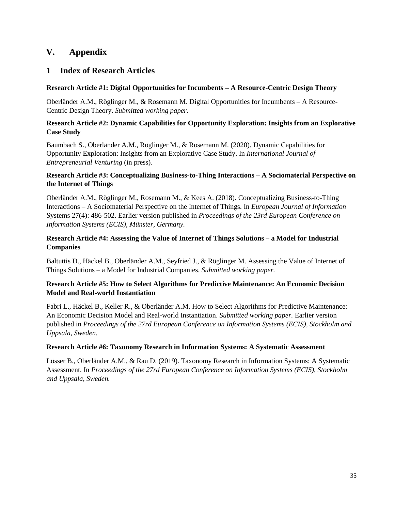# <span id="page-40-0"></span>**V. Appendix**

# <span id="page-40-1"></span>**1 Index of Research Articles**

## **Research Article #1: Digital Opportunities for Incumbents – A Resource-Centric Design Theory**

Oberländer A.M., Röglinger M., & Rosemann M. Digital Opportunities for Incumbents – A Resource-Centric Design Theory. *Submitted working paper.*

## **Research Article #2: Dynamic Capabilities for Opportunity Exploration: Insights from an Explorative Case Study**

Baumbach S., Oberländer A.M., Röglinger M., & Rosemann M. (2020). Dynamic Capabilities for Opportunity Exploration: Insights from an Explorative Case Study. In *International Journal of Entrepreneurial Venturing* (in press).

## **Research Article #3: Conceptualizing Business-to-Thing Interactions – A Sociomaterial Perspective on the Internet of Things**

Oberländer A.M., Röglinger M., Rosemann M., & Kees A. (2018). Conceptualizing Business-to-Thing Interactions – A Sociomaterial Perspective on the Internet of Things. In *European Journal of Information* Systems 27(4): 486-502. Earlier version published in *Proceedings of the 23rd European Conference on Information Systems (ECIS), Münster, Germany.*

# **Research Article #4: Assessing the Value of Internet of Things Solutions – a Model for Industrial Companies**

Baltuttis D., Häckel B., Oberländer A.M., Seyfried J., & Röglinger M. Assessing the Value of Internet of Things Solutions – a Model for Industrial Companies. *Submitted working paper.*

# **Research Article #5: How to Select Algorithms for Predictive Maintenance: An Economic Decision Model and Real-world Instantiation**

Fabri L., Häckel B., Keller R., & Oberländer A.M. How to Select Algorithms for Predictive Maintenance: An Economic Decision Model and Real-world Instantiation. *Submitted working paper.* Earlier version published in *Proceedings of the 27rd European Conference on Information Systems (ECIS), Stockholm and Uppsala, Sweden*.

## **Research Article #6: Taxonomy Research in Information Systems: A Systematic Assessment**

<span id="page-40-2"></span>Lösser B., Oberländer A.M., & Rau D. (2019). Taxonomy Research in Information Systems: A Systematic Assessment. In *Proceedings of the 27rd European Conference on Information Systems (ECIS), Stockholm and Uppsala, Sweden.*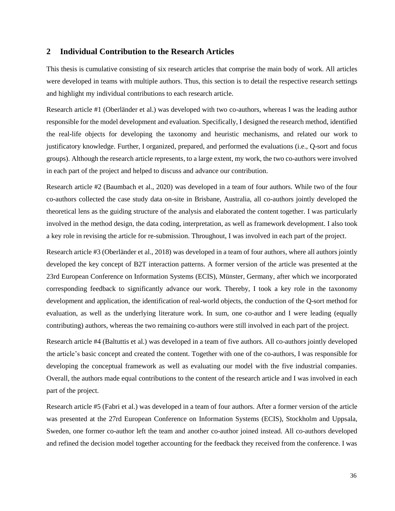## **2 Individual Contribution to the Research Articles**

This thesis is cumulative consisting of six research articles that comprise the main body of work. All articles were developed in teams with multiple authors. Thus, this section is to detail the respective research settings and highlight my individual contributions to each research article.

Research article #1 (Oberländer et al.) was developed with two co-authors, whereas I was the leading author responsible for the model development and evaluation. Specifically, I designed the research method, identified the real-life objects for developing the taxonomy and heuristic mechanisms, and related our work to justificatory knowledge. Further, I organized, prepared, and performed the evaluations (i.e., Q-sort and focus groups). Although the research article represents, to a large extent, my work, the two co-authors were involved in each part of the project and helped to discuss and advance our contribution.

Research article #2 (Baumbach et al., 2020) was developed in a team of four authors. While two of the four co-authors collected the case study data on-site in Brisbane, Australia, all co-authors jointly developed the theoretical lens as the guiding structure of the analysis and elaborated the content together. I was particularly involved in the method design, the data coding, interpretation, as well as framework development. I also took a key role in revising the article for re-submission. Throughout, I was involved in each part of the project.

Research article #3 (Oberländer et al., 2018) was developed in a team of four authors, where all authors jointly developed the key concept of B2T interaction patterns. A former version of the article was presented at the 23rd European Conference on Information Systems (ECIS), Münster, Germany, after which we incorporated corresponding feedback to significantly advance our work. Thereby, I took a key role in the taxonomy development and application, the identification of real-world objects, the conduction of the Q-sort method for evaluation, as well as the underlying literature work. In sum, one co-author and I were leading (equally contributing) authors, whereas the two remaining co-authors were still involved in each part of the project.

Research article #4 (Baltuttis et al.) was developed in a team of five authors. All co-authors jointly developed the article's basic concept and created the content. Together with one of the co-authors, I was responsible for developing the conceptual framework as well as evaluating our model with the five industrial companies. Overall, the authors made equal contributions to the content of the research article and I was involved in each part of the project.

Research article #5 (Fabri et al.) was developed in a team of four authors. After a former version of the article was presented at the 27rd European Conference on Information Systems (ECIS), Stockholm and Uppsala, Sweden, one former co-author left the team and another co-author joined instead. All co-authors developed and refined the decision model together accounting for the feedback they received from the conference. I was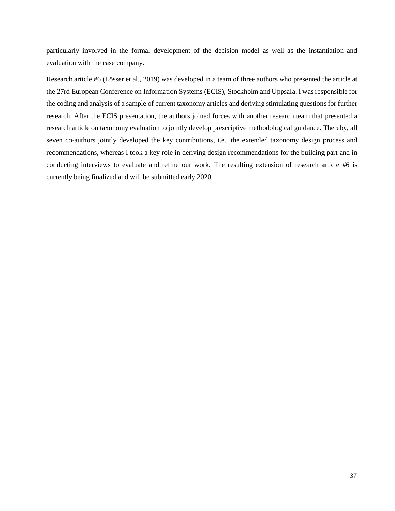particularly involved in the formal development of the decision model as well as the instantiation and evaluation with the case company.

Research article #6 (Lösser et al., 2019) was developed in a team of three authors who presented the article at the 27rd European Conference on Information Systems (ECIS), Stockholm and Uppsala. I was responsible for the coding and analysis of a sample of current taxonomy articles and deriving stimulating questions for further research. After the ECIS presentation, the authors joined forces with another research team that presented a research article on taxonomy evaluation to jointly develop prescriptive methodological guidance. Thereby, all seven co-authors jointly developed the key contributions, i.e., the extended taxonomy design process and recommendations, whereas I took a key role in deriving design recommendations for the building part and in conducting interviews to evaluate and refine our work. The resulting extension of research article #6 is currently being finalized and will be submitted early 2020.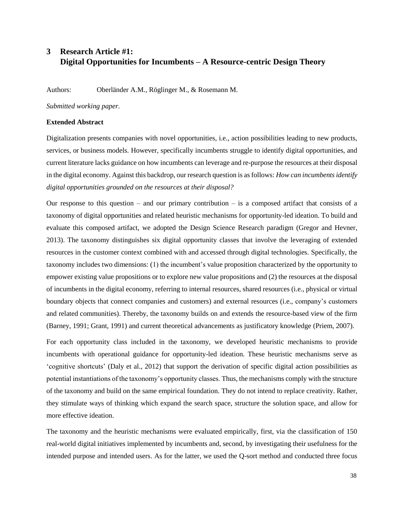# <span id="page-43-0"></span>**3 Research Article #1: Digital Opportunities for Incumbents – A Resource-centric Design Theory**

Authors: Oberländer A.M., Röglinger M., & Rosemann M.

*Submitted working paper.*

#### **Extended Abstract**

Digitalization presents companies with novel opportunities, i.e., action possibilities leading to new products, services, or business models. However, specifically incumbents struggle to identify digital opportunities, and current literature lacks guidance on how incumbents can leverage and re-purpose the resources at their disposal in the digital economy. Against this backdrop, our research question is as follows: *How can incumbents identify digital opportunities grounded on the resources at their disposal?*

Our response to this question – and our primary contribution – is a composed artifact that consists of a taxonomy of digital opportunities and related heuristic mechanisms for opportunity-led ideation. To build and evaluate this composed artifact, we adopted the Design Science Research paradigm (Gregor and Hevner, 2013). The taxonomy distinguishes six digital opportunity classes that involve the leveraging of extended resources in the customer context combined with and accessed through digital technologies. Specifically, the taxonomy includes two dimensions: (1) the incumbent's value proposition characterized by the opportunity to empower existing value propositions or to explore new value propositions and (2) the resources at the disposal of incumbents in the digital economy, referring to internal resources, shared resources (i.e., physical or virtual boundary objects that connect companies and customers) and external resources (i.e., company's customers and related communities). Thereby, the taxonomy builds on and extends the resource-based view of the firm (Barney, 1991; Grant, 1991) and current theoretical advancements as justificatory knowledge (Priem, 2007).

For each opportunity class included in the taxonomy, we developed heuristic mechanisms to provide incumbents with operational guidance for opportunity-led ideation. These heuristic mechanisms serve as 'cognitive shortcuts' (Daly et al., 2012) that support the derivation of specific digital action possibilities as potential instantiations of the taxonomy's opportunity classes. Thus, the mechanisms comply with the structure of the taxonomy and build on the same empirical foundation. They do not intend to replace creativity. Rather, they stimulate ways of thinking which expand the search space, structure the solution space, and allow for more effective ideation.

The taxonomy and the heuristic mechanisms were evaluated empirically, first, via the classification of 150 real-world digital initiatives implemented by incumbents and, second, by investigating their usefulness for the intended purpose and intended users. As for the latter, we used the Q-sort method and conducted three focus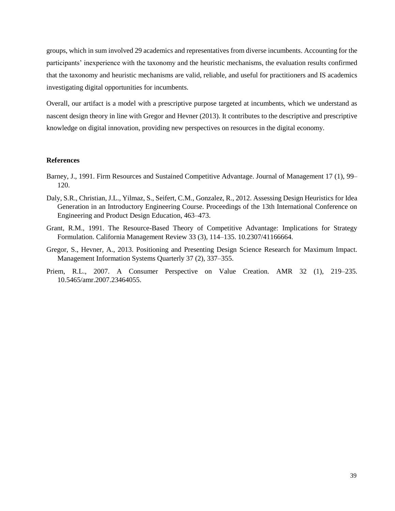groups, which in sum involved 29 academics and representatives from diverse incumbents. Accounting for the participants' inexperience with the taxonomy and the heuristic mechanisms, the evaluation results confirmed that the taxonomy and heuristic mechanisms are valid, reliable, and useful for practitioners and IS academics investigating digital opportunities for incumbents.

Overall, our artifact is a model with a prescriptive purpose targeted at incumbents, which we understand as nascent design theory in line with Gregor and Hevner (2013). It contributes to the descriptive and prescriptive knowledge on digital innovation, providing new perspectives on resources in the digital economy.

#### **References**

- Barney, J., 1991. Firm Resources and Sustained Competitive Advantage. Journal of Management 17 (1), 99– 120.
- Daly, S.R., Christian, J.L., Yilmaz, S., Seifert, C.M., Gonzalez, R., 2012. Assessing Design Heuristics for Idea Generation in an Introductory Engineering Course. Proceedings of the 13th International Conference on Engineering and Product Design Education, 463–473.
- Grant, R.M., 1991. The Resource-Based Theory of Competitive Advantage: Implications for Strategy Formulation. California Management Review 33 (3), 114–135. 10.2307/41166664.
- Gregor, S., Hevner, A., 2013. Positioning and Presenting Design Science Research for Maximum Impact. Management Information Systems Quarterly 37 (2), 337–355.
- Priem, R.L., 2007. A Consumer Perspective on Value Creation. AMR 32 (1), 219–235. 10.5465/amr.2007.23464055.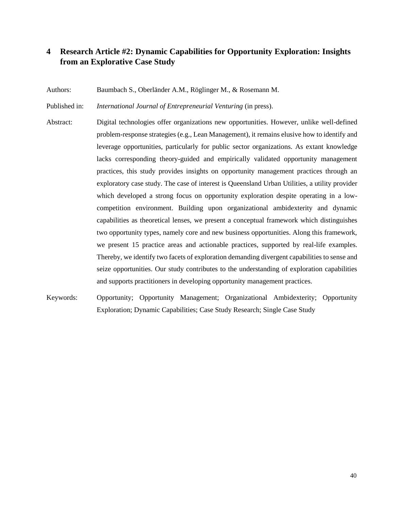# <span id="page-45-0"></span>**4 Research Article #2: Dynamic Capabilities for Opportunity Exploration: Insights from an Explorative Case Study**

Authors: Baumbach S., Oberländer A.M., Röglinger M., & Rosemann M.

Published in: *International Journal of Entrepreneurial Venturing* (in press).

- Abstract: Digital technologies offer organizations new opportunities. However, unlike well-defined problem-response strategies (e.g., Lean Management), it remains elusive how to identify and leverage opportunities, particularly for public sector organizations. As extant knowledge lacks corresponding theory-guided and empirically validated opportunity management practices, this study provides insights on opportunity management practices through an exploratory case study. The case of interest is Queensland Urban Utilities, a utility provider which developed a strong focus on opportunity exploration despite operating in a lowcompetition environment. Building upon organizational ambidexterity and dynamic capabilities as theoretical lenses, we present a conceptual framework which distinguishes two opportunity types, namely core and new business opportunities. Along this framework, we present 15 practice areas and actionable practices, supported by real-life examples. Thereby, we identify two facets of exploration demanding divergent capabilities to sense and seize opportunities. Our study contributes to the understanding of exploration capabilities and supports practitioners in developing opportunity management practices.
- Keywords: Opportunity; Opportunity Management; Organizational Ambidexterity; Opportunity Exploration; Dynamic Capabilities; Case Study Research; Single Case Study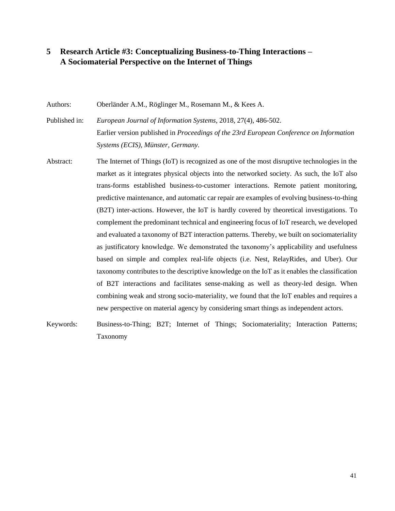# <span id="page-46-0"></span>**5 Research Article #3: Conceptualizing Business-to-Thing Interactions – A Sociomaterial Perspective on the Internet of Things**

Authors: Oberländer A.M., Röglinger M., Rosemann M., & Kees A.

Published in: *European Journal of Information Systems*, 2018, 27(4), 486-502. Earlier version published in *Proceedings of the 23rd European Conference on Information Systems (ECIS), Münster, Germany.*

- Abstract: The Internet of Things (IoT) is recognized as one of the most disruptive technologies in the market as it integrates physical objects into the networked society. As such, the IoT also trans-forms established business-to-customer interactions. Remote patient monitoring, predictive maintenance, and automatic car repair are examples of evolving business-to-thing (B2T) inter-actions. However, the IoT is hardly covered by theoretical investigations. To complement the predominant technical and engineering focus of IoT research, we developed and evaluated a taxonomy of B2T interaction patterns. Thereby, we built on sociomateriality as justificatory knowledge. We demonstrated the taxonomy's applicability and usefulness based on simple and complex real-life objects (i.e. Nest, RelayRides, and Uber). Our taxonomy contributes to the descriptive knowledge on the IoT as it enables the classification of B2T interactions and facilitates sense-making as well as theory-led design. When combining weak and strong socio-materiality, we found that the IoT enables and requires a new perspective on material agency by considering smart things as independent actors.
- Keywords: Business-to-Thing; B2T; Internet of Things; Sociomateriality; Interaction Patterns; Taxonomy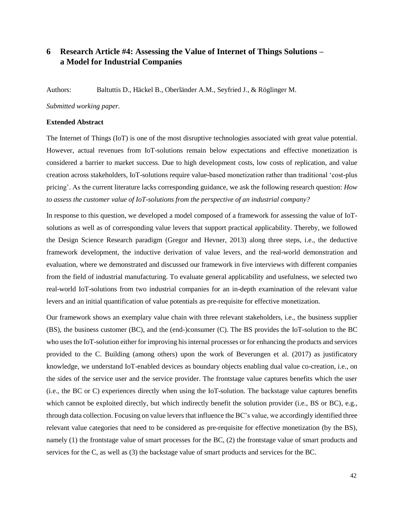# <span id="page-47-0"></span>**6 Research Article #4: Assessing the Value of Internet of Things Solutions – a Model for Industrial Companies**

Authors: Baltuttis D., Häckel B., Oberländer A.M., Seyfried J., & Röglinger M.

*Submitted working paper.*

#### **Extended Abstract**

The Internet of Things (IoT) is one of the most disruptive technologies associated with great value potential. However, actual revenues from IoT-solutions remain below expectations and effective monetization is considered a barrier to market success. Due to high development costs, low costs of replication, and value creation across stakeholders, IoT-solutions require value-based monetization rather than traditional 'cost-plus pricing'. As the current literature lacks corresponding guidance, we ask the following research question: *How to assess the customer value of IoT-solutions from the perspective of an industrial company?*

In response to this question, we developed a model composed of a framework for assessing the value of IoTsolutions as well as of corresponding value levers that support practical applicability. Thereby, we followed the Design Science Research paradigm (Gregor and Hevner, 2013) along three steps, i.e., the deductive framework development, the inductive derivation of value levers, and the real-world demonstration and evaluation, where we demonstrated and discussed our framework in five interviews with different companies from the field of industrial manufacturing. To evaluate general applicability and usefulness, we selected two real-world IoT-solutions from two industrial companies for an in-depth examination of the relevant value levers and an initial quantification of value potentials as pre-requisite for effective monetization.

Our framework shows an exemplary value chain with three relevant stakeholders, i.e., the business supplier (BS), the business customer (BC), and the (end-)consumer (C). The BS provides the IoT-solution to the BC who uses the IoT-solution either for improving his internal processes or for enhancing the products and services provided to the C. Building (among others) upon the work of Beverungen et al. (2017) as justificatory knowledge, we understand IoT-enabled devices as boundary objects enabling dual value co-creation, i.e., on the sides of the service user and the service provider. The frontstage value captures benefits which the user (i.e., the BC or C) experiences directly when using the IoT-solution. The backstage value captures benefits which cannot be exploited directly, but which indirectly benefit the solution provider (i.e., BS or BC), e.g., through data collection. Focusing on value levers that influence the BC's value, we accordingly identified three relevant value categories that need to be considered as pre-requisite for effective monetization (by the BS), namely (1) the frontstage value of smart processes for the BC, (2) the frontstage value of smart products and services for the C, as well as (3) the backstage value of smart products and services for the BC.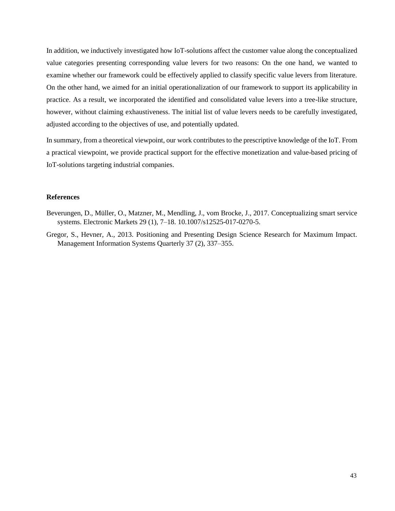In addition, we inductively investigated how IoT-solutions affect the customer value along the conceptualized value categories presenting corresponding value levers for two reasons: On the one hand, we wanted to examine whether our framework could be effectively applied to classify specific value levers from literature. On the other hand, we aimed for an initial operationalization of our framework to support its applicability in practice. As a result, we incorporated the identified and consolidated value levers into a tree-like structure, however, without claiming exhaustiveness. The initial list of value levers needs to be carefully investigated, adjusted according to the objectives of use, and potentially updated.

In summary, from a theoretical viewpoint, our work contributes to the prescriptive knowledge of the IoT. From a practical viewpoint, we provide practical support for the effective monetization and value-based pricing of IoT-solutions targeting industrial companies.

#### **References**

- Beverungen, D., Müller, O., Matzner, M., Mendling, J., vom Brocke, J., 2017. Conceptualizing smart service systems. Electronic Markets 29 (1), 7–18. 10.1007/s12525-017-0270-5.
- Gregor, S., Hevner, A., 2013. Positioning and Presenting Design Science Research for Maximum Impact. Management Information Systems Quarterly 37 (2), 337–355.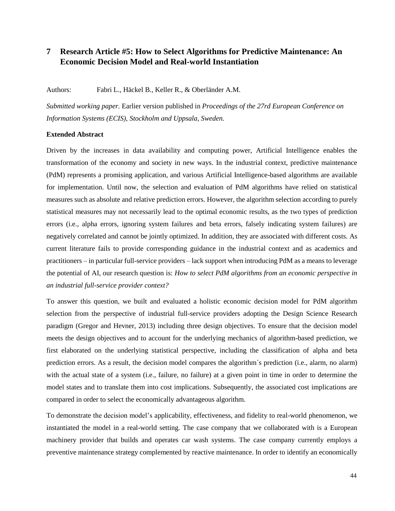# <span id="page-49-0"></span>**7 Research Article #5: How to Select Algorithms for Predictive Maintenance: An Economic Decision Model and Real-world Instantiation**

Authors: Fabri L., Häckel B., Keller R., & Oberländer A.M.

*Submitted working paper.* Earlier version published in *Proceedings of the 27rd European Conference on Information Systems (ECIS), Stockholm and Uppsala, Sweden.*

#### **Extended Abstract**

Driven by the increases in data availability and computing power, Artificial Intelligence enables the transformation of the economy and society in new ways. In the industrial context, predictive maintenance (PdM) represents a promising application, and various Artificial Intelligence-based algorithms are available for implementation. Until now, the selection and evaluation of PdM algorithms have relied on statistical measures such as absolute and relative prediction errors. However, the algorithm selection according to purely statistical measures may not necessarily lead to the optimal economic results, as the two types of prediction errors (i.e., alpha errors, ignoring system failures and beta errors, falsely indicating system failures) are negatively correlated and cannot be jointly optimized. In addition, they are associated with different costs. As current literature fails to provide corresponding guidance in the industrial context and as academics and practitioners – in particular full-service providers – lack support when introducing PdM as a means to leverage the potential of AI, our research question is: *How to select PdM algorithms from an economic perspective in an industrial full-service provider context?* 

To answer this question, we built and evaluated a holistic economic decision model for PdM algorithm selection from the perspective of industrial full-service providers adopting the Design Science Research paradigm (Gregor and Hevner, 2013) including three design objectives. To ensure that the decision model meets the design objectives and to account for the underlying mechanics of algorithm-based prediction, we first elaborated on the underlying statistical perspective, including the classification of alpha and beta prediction errors. As a result, the decision model compares the algorithm´s prediction (i.e., alarm, no alarm) with the actual state of a system (i.e., failure, no failure) at a given point in time in order to determine the model states and to translate them into cost implications. Subsequently, the associated cost implications are compared in order to select the economically advantageous algorithm.

To demonstrate the decision model's applicability, effectiveness, and fidelity to real-world phenomenon, we instantiated the model in a real-world setting. The case company that we collaborated with is a European machinery provider that builds and operates car wash systems. The case company currently employs a preventive maintenance strategy complemented by reactive maintenance. In order to identify an economically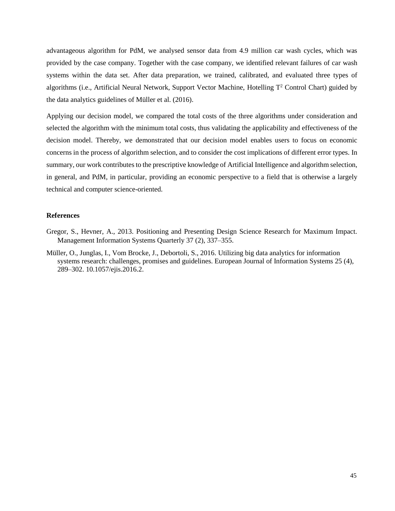advantageous algorithm for PdM, we analysed sensor data from 4.9 million car wash cycles, which was provided by the case company. Together with the case company, we identified relevant failures of car wash systems within the data set. After data preparation, we trained, calibrated, and evaluated three types of algorithms (i.e., Artificial Neural Network, Support Vector Machine, Hotelling T<sup>2</sup> Control Chart) guided by the data analytics guidelines of Müller et al. (2016).

Applying our decision model, we compared the total costs of the three algorithms under consideration and selected the algorithm with the minimum total costs, thus validating the applicability and effectiveness of the decision model. Thereby, we demonstrated that our decision model enables users to focus on economic concerns in the process of algorithm selection, and to consider the cost implications of different error types. In summary, our work contributes to the prescriptive knowledge of Artificial Intelligence and algorithm selection, in general, and PdM, in particular, providing an economic perspective to a field that is otherwise a largely technical and computer science-oriented.

#### **References**

- Gregor, S., Hevner, A., 2013. Positioning and Presenting Design Science Research for Maximum Impact. Management Information Systems Quarterly 37 (2), 337–355.
- Müller, O., Junglas, I., Vom Brocke, J., Debortoli, S., 2016. Utilizing big data analytics for information systems research: challenges, promises and guidelines. European Journal of Information Systems 25 (4), 289–302. 10.1057/ejis.2016.2.